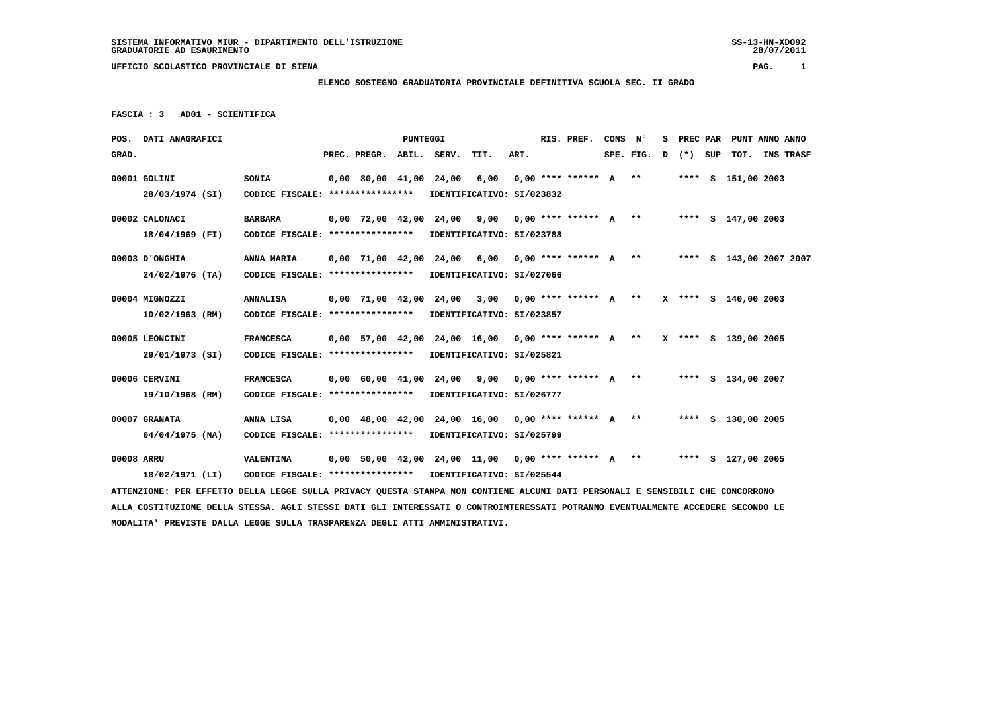# **ELENCO SOSTEGNO GRADUATORIA PROVINCIALE DEFINITIVA SCUOLA SEC. II GRADO**

```
 FASCIA : 3 AD01 - SCIENTIFICA
```

|            | POS. DATI ANAGRAFICI                                                                                                            |                                                            |  |                          | PUNTEGGI |                                                      |      |      |  | RIS. PREF.                | CONS | N°        | s | PREC PAR |     |                      | PUNT ANNO ANNO          |
|------------|---------------------------------------------------------------------------------------------------------------------------------|------------------------------------------------------------|--|--------------------------|----------|------------------------------------------------------|------|------|--|---------------------------|------|-----------|---|----------|-----|----------------------|-------------------------|
| GRAD.      |                                                                                                                                 |                                                            |  | PREC. PREGR.             |          | ABIL. SERV.                                          | TIT. | ART. |  |                           |      | SPE. FIG. | D | $(*)$    | SUP | тот.                 | <b>INS TRASF</b>        |
|            | 00001 GOLINI                                                                                                                    | <b>SONIA</b>                                               |  | 0,00 80,00 41,00 24,00   |          |                                                      | 6,00 |      |  | $0.00$ **** ****** A **   |      |           |   |          |     | **** S 151,00 2003   |                         |
|            | 28/03/1974 (SI)                                                                                                                 | CODICE FISCALE: ****************                           |  |                          |          | IDENTIFICATIVO: SI/023832                            |      |      |  |                           |      |           |   |          |     |                      |                         |
|            |                                                                                                                                 |                                                            |  |                          |          |                                                      |      |      |  |                           |      |           |   |          |     |                      |                         |
|            | 00002 CALONACI                                                                                                                  | <b>BARBARA</b>                                             |  | 0,00 72,00 42,00 24,00   |          |                                                      | 9,00 |      |  | $0,00$ **** ****** $A$ ** |      |           |   |          |     | **** S 147,00 2003   |                         |
|            | 18/04/1969 (FI)                                                                                                                 | CODICE FISCALE: ****************                           |  |                          |          | IDENTIFICATIVO: SI/023788                            |      |      |  |                           |      |           |   |          |     |                      |                         |
|            | 00003 D'ONGHIA                                                                                                                  | ANNA MARIA                                                 |  | 0,00 71,00 42,00 24,00   |          |                                                      | 6,00 |      |  | $0,00$ **** ****** A **   |      |           |   |          |     |                      | **** S 143,00 2007 2007 |
|            | $24/02/1976$ (TA)                                                                                                               | CODICE FISCALE: ****************                           |  |                          |          | IDENTIFICATIVO: SI/027066                            |      |      |  |                           |      |           |   |          |     |                      |                         |
|            |                                                                                                                                 |                                                            |  |                          |          |                                                      |      |      |  |                           |      |           |   |          |     |                      |                         |
|            | 00004 MIGNOZZI                                                                                                                  | <b>ANNALISA</b>                                            |  | $0,00$ 71,00 42,00 24,00 |          |                                                      | 3,00 |      |  | $0.00*********** A***$    |      |           |   |          |     | X **** S 140.00 2003 |                         |
|            | 10/02/1963 (RM)                                                                                                                 | CODICE FISCALE: ****************                           |  |                          |          | IDENTIFICATIVO: SI/023857                            |      |      |  |                           |      |           |   |          |     |                      |                         |
|            | 00005 LEONCINI                                                                                                                  | <b>FRANCESCA</b>                                           |  |                          |          | $0,00$ 57,00 42,00 24,00 16,00 0,00 **** ****** A ** |      |      |  |                           |      |           |   |          |     | X **** S 139,00 2005 |                         |
|            |                                                                                                                                 |                                                            |  |                          |          |                                                      |      |      |  |                           |      |           |   |          |     |                      |                         |
|            | 29/01/1973 (SI)                                                                                                                 | CODICE FISCALE: **************** IDENTIFICATIVO: SI/025821 |  |                          |          |                                                      |      |      |  |                           |      |           |   |          |     |                      |                         |
|            | 00006 CERVINI                                                                                                                   | <b>FRANCESCA</b>                                           |  | $0,00$ 60,00 41,00 24,00 |          |                                                      | 9,00 |      |  | $0.00********** A***$     |      |           |   |          |     | **** S 134,00 2007   |                         |
|            | 19/10/1968 (RM)                                                                                                                 | CODICE FISCALE: **************** IDENTIFICATIVO: SI/026777 |  |                          |          |                                                      |      |      |  |                           |      |           |   |          |     |                      |                         |
|            |                                                                                                                                 |                                                            |  |                          |          |                                                      |      |      |  |                           |      |           |   |          |     |                      |                         |
|            | 00007 GRANATA                                                                                                                   | ANNA LISA                                                  |  |                          |          | $0.00$ 48.00 42.00 24.00 16.00 0.00 **** ****** A ** |      |      |  |                           |      |           |   |          |     | **** S 130,00 2005   |                         |
|            | $04/04/1975$ (NA)                                                                                                               | CODICE FISCALE: **************** IDENTIFICATIVO: SI/025799 |  |                          |          |                                                      |      |      |  |                           |      |           |   |          |     |                      |                         |
| 00008 ARRU |                                                                                                                                 | VALENTINA                                                  |  |                          |          | $0,00$ 50,00 42,00 24,00 11,00 0,00 **** ****** A ** |      |      |  |                           |      |           |   |          |     | **** S 127,00 2005   |                         |
|            | 18/02/1971 (LI)                                                                                                                 | CODICE FISCALE: **************** IDENTIFICATIVO: SI/025544 |  |                          |          |                                                      |      |      |  |                           |      |           |   |          |     |                      |                         |
|            | ATTENZIONE: PER EFFETTO DELLA LEGGE SULLA PRIVACY QUESTA STAMPA NON CONTIENE ALCUNI DATI PERSONALI E SENSIBILI CHE CONCORRONO   |                                                            |  |                          |          |                                                      |      |      |  |                           |      |           |   |          |     |                      |                         |
|            | ALLA COSTITUZIONE DELLA STESSA. AGLI STESSI DATI GLI INTERESSATI O CONTROINTERESSATI POTRANNO EVENTUALMENTE ACCEDERE SECONDO LE |                                                            |  |                          |          |                                                      |      |      |  |                           |      |           |   |          |     |                      |                         |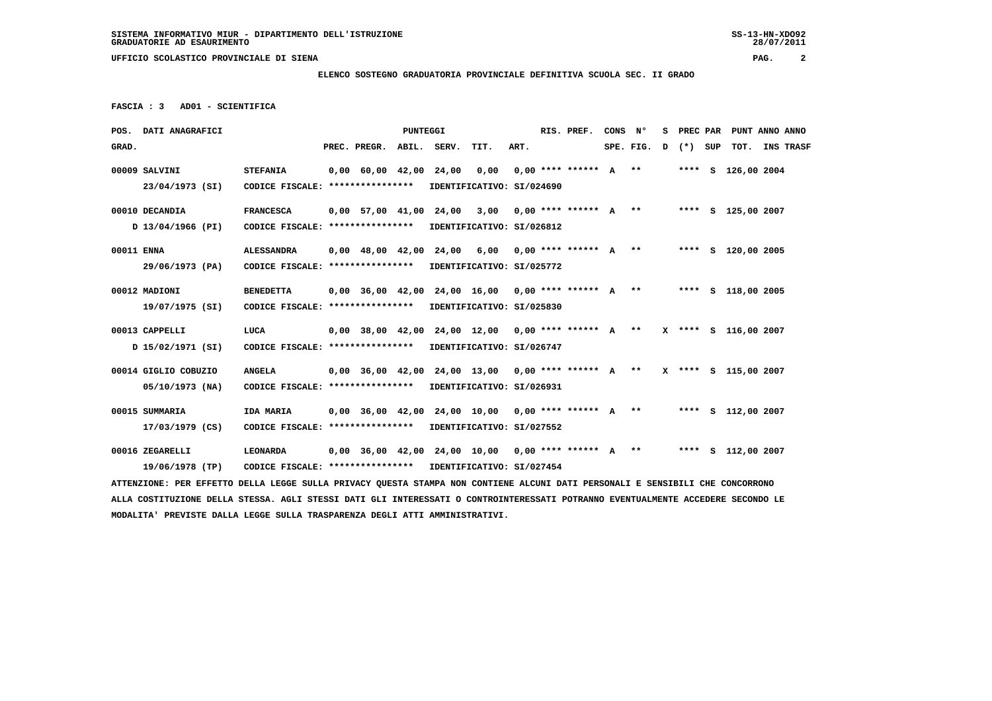#### **ELENCO SOSTEGNO GRADUATORIA PROVINCIALE DEFINITIVA SCUOLA SEC. II GRADO**

 **FASCIA : 3 AD01 - SCIENTIFICA**

|            | POS. DATI ANAGRAFICI                                                                                                            |                                                            |                          | <b>PUNTEGGI</b> |                                                                         |      | RIS. PREF.                | CONS | N°        | s |         | PREC PAR PUNT ANNO ANNO |                  |
|------------|---------------------------------------------------------------------------------------------------------------------------------|------------------------------------------------------------|--------------------------|-----------------|-------------------------------------------------------------------------|------|---------------------------|------|-----------|---|---------|-------------------------|------------------|
| GRAD.      |                                                                                                                                 |                                                            | PREC. PREGR. ABIL. SERV. |                 | TIT.                                                                    | ART. |                           |      | SPE. FIG. | D | (*) SUP | тот.                    | <b>INS TRASF</b> |
|            | 00009 SALVINI                                                                                                                   | <b>STEFANIA</b>                                            | $0,00$ 60,00 42,00 24,00 |                 | 0,00                                                                    |      | $0.00$ **** ****** $A$ ** |      |           |   |         | **** S 126,00 2004      |                  |
|            | 23/04/1973 (SI)                                                                                                                 | CODICE FISCALE: ****************                           |                          |                 | IDENTIFICATIVO: SI/024690                                               |      |                           |      |           |   |         |                         |                  |
|            | 00010 DECANDIA                                                                                                                  | <b>FRANCESCA</b>                                           |                          |                 | 0,00 57,00 41,00 24,00 3,00 0,00 **** ****** A **                       |      |                           |      |           |   |         | **** S 125,00 2007      |                  |
|            | D 13/04/1966 (PI)                                                                                                               | CODICE FISCALE: ****************                           |                          |                 | IDENTIFICATIVO: SI/026812                                               |      |                           |      |           |   |         |                         |                  |
| 00011 ENNA |                                                                                                                                 | <b>ALESSANDRA</b>                                          |                          |                 | $0,00$ 48,00 42,00 24,00 6,00                                           |      | $0.00$ **** ****** $A$ ** |      |           |   |         | **** S 120,00 2005      |                  |
|            | 29/06/1973 (PA)                                                                                                                 | CODICE FISCALE: *****************                          |                          |                 | IDENTIFICATIVO: SI/025772                                               |      |                           |      |           |   |         |                         |                  |
|            | 00012 MADIONI                                                                                                                   | <b>BENEDETTA</b>                                           |                          |                 | $0,00$ 36,00 42,00 24,00 16,00 0,00 **** ****** A **                    |      |                           |      |           |   |         | **** S 118,00 2005      |                  |
|            | 19/07/1975 (SI)                                                                                                                 | CODICE FISCALE: ****************                           |                          |                 | IDENTIFICATIVO: SI/025830                                               |      |                           |      |           |   |         |                         |                  |
|            | 00013 CAPPELLI                                                                                                                  | LUCA                                                       |                          |                 | 0,00 38,00 42,00 24,00 12,00 0,00 **** ****** A ** X **** S 116,00 2007 |      |                           |      |           |   |         |                         |                  |
|            | D 15/02/1971 (SI)                                                                                                               | CODICE FISCALE: *****************                          |                          |                 | IDENTIFICATIVO: SI/026747                                               |      |                           |      |           |   |         |                         |                  |
|            | 00014 GIGLIO COBUZIO                                                                                                            | <b>ANGELA</b>                                              |                          |                 | $0.00$ 36.00 42.00 24.00 13.00 0.00 **** ****** A **                    |      |                           |      |           |   |         | X **** S 115,00 2007    |                  |
|            | 05/10/1973 (NA)                                                                                                                 | CODICE FISCALE: ****************                           |                          |                 | IDENTIFICATIVO: SI/026931                                               |      |                           |      |           |   |         |                         |                  |
|            | 00015 SUMMARIA                                                                                                                  | IDA MARIA                                                  |                          |                 | 0,00 36,00 42,00 24,00 10,00 0,00 **** ****** A ** ***** S 112,00 2007  |      |                           |      |           |   |         |                         |                  |
|            | 17/03/1979 (CS)                                                                                                                 | CODICE FISCALE: *****************                          |                          |                 | IDENTIFICATIVO: SI/027552                                               |      |                           |      |           |   |         |                         |                  |
|            | 00016 ZEGARELLI                                                                                                                 | LEONARDA                                                   |                          |                 | $0.00$ 36.00 42.00 24.00 10.00 0.00 **** ****** A **                    |      |                           |      |           |   |         | **** S 112,00 2007      |                  |
|            | 19/06/1978 (TP)                                                                                                                 | CODICE FISCALE: **************** IDENTIFICATIVO: SI/027454 |                          |                 |                                                                         |      |                           |      |           |   |         |                         |                  |
|            | ATTENZIONE: PER EFFETTO DELLA LEGGE SULLA PRIVACY QUESTA STAMPA NON CONTIENE ALCUNI DATI PERSONALI E SENSIBILI CHE CONCORRONO   |                                                            |                          |                 |                                                                         |      |                           |      |           |   |         |                         |                  |
|            | ALLA COSTITUZIONE DELLA STESSA. AGLI STESSI DATI GLI INTERESSATI O CONTROINTERESSATI POTRANNO EVENTUALMENTE ACCEDERE SECONDO LE |                                                            |                          |                 |                                                                         |      |                           |      |           |   |         |                         |                  |
|            | MODALITA' PREVISTE DALLA LEGGE SULLA TRASPARENZA DEGLI ATTI AMMINISTRATIVI.                                                     |                                                            |                          |                 |                                                                         |      |                           |      |           |   |         |                         |                  |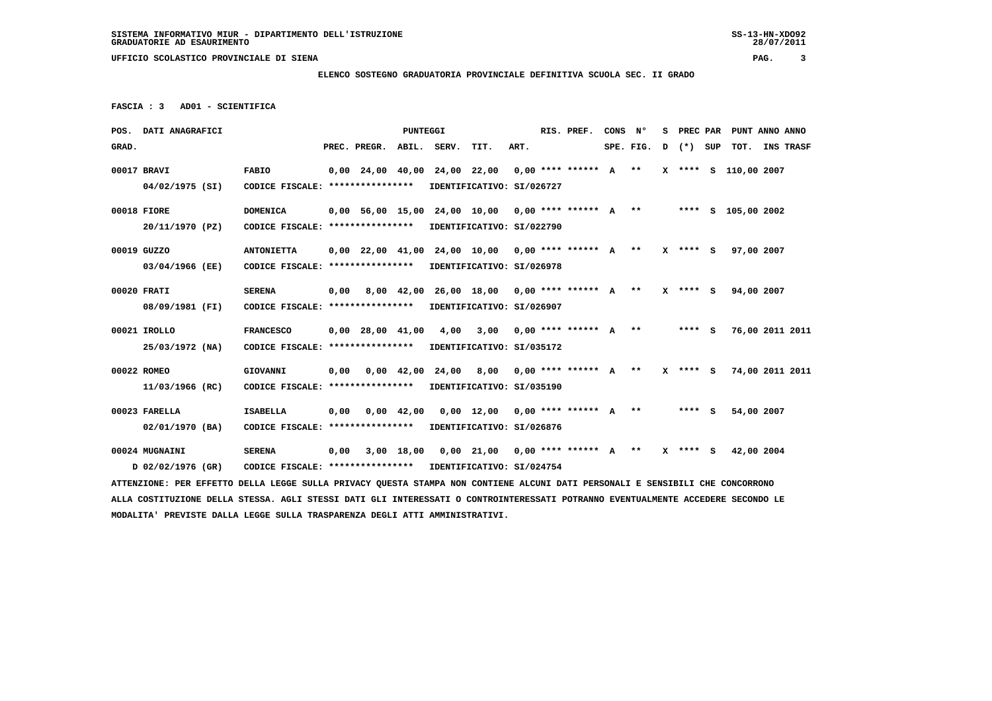**MODALITA' PREVISTE DALLA LEGGE SULLA TRASPARENZA DEGLI ATTI AMMINISTRATIVI.**

 **UFFICIO SCOLASTICO PROVINCIALE DI SIENA PAG. 3**

#### **ELENCO SOSTEGNO GRADUATORIA PROVINCIALE DEFINITIVA SCUOLA SEC. II GRADO**

 **FASCIA : 3 AD01 - SCIENTIFICA**

|       | POS. DATI ANAGRAFICI                                                                                                            |                                                            |      |                                                                           | PUNTEGGI |                                                                 |                           |      | RIS. PREF. | CONS N° |                         | s |         | PREC PAR PUNT ANNO ANNO |  |
|-------|---------------------------------------------------------------------------------------------------------------------------------|------------------------------------------------------------|------|---------------------------------------------------------------------------|----------|-----------------------------------------------------------------|---------------------------|------|------------|---------|-------------------------|---|---------|-------------------------|--|
| GRAD. |                                                                                                                                 |                                                            |      | PREC. PREGR.                                                              |          | ABIL. SERV.                                                     | TIT.                      | ART. |            |         | $SPE.FIG.D$ $(*)$ $SUP$ |   |         | TOT. INS TRASF          |  |
|       | 00017 BRAVI                                                                                                                     | <b>FABIO</b>                                               |      | $0,00$ 24,00 40,00 24,00 22,00 0,00 **** ****** A **                      |          |                                                                 |                           |      |            |         |                         |   |         | X **** S 110,00 2007    |  |
|       | 04/02/1975 (SI)                                                                                                                 | CODICE FISCALE: **************** IDENTIFICATIVO: SI/026727 |      |                                                                           |          |                                                                 |                           |      |            |         |                         |   |         |                         |  |
|       | 00018 FIORE                                                                                                                     | <b>DOMENICA</b>                                            |      | 0,00 56,00 15,00 24,00 10,00 0,00 **** ****** A ** ***** \$ 105,00 2002   |          |                                                                 |                           |      |            |         |                         |   |         |                         |  |
|       | 20/11/1970 (PZ)                                                                                                                 | CODICE FISCALE: **************** IDENTIFICATIVO: SI/022790 |      |                                                                           |          |                                                                 |                           |      |            |         |                         |   |         |                         |  |
|       | 00019 GUZZO                                                                                                                     | <b>ANTONIETTA</b>                                          |      | 0,00 22,00 41,00 24,00 10,00 0,00 **** ****** A ** X **** S 97,00 2007    |          |                                                                 |                           |      |            |         |                         |   |         |                         |  |
|       | 03/04/1966 (EE)                                                                                                                 | CODICE FISCALE: ****************                           |      |                                                                           |          | IDENTIFICATIVO: SI/026978                                       |                           |      |            |         |                         |   |         |                         |  |
|       | 00020 FRATI                                                                                                                     | <b>SERENA</b>                                              |      | 0,00 8,00 42,00 26,00 18,00 0,00 **** ****** A ** X **** S 94,00 2007     |          |                                                                 |                           |      |            |         |                         |   |         |                         |  |
|       | 08/09/1981 (FI)                                                                                                                 | CODICE FISCALE: **************** IDENTIFICATIVO: SI/026907 |      |                                                                           |          |                                                                 |                           |      |            |         |                         |   |         |                         |  |
|       | 00021 IROLLO                                                                                                                    | <b>FRANCESCO</b>                                           |      | 0,00 28,00 41,00 4,00 3,00 0,00 **** ****** A **                          |          |                                                                 |                           |      |            |         |                         |   | $***$ S | 76,00 2011 2011         |  |
|       | 25/03/1972 (NA)                                                                                                                 | CODICE FISCALE: **************** IDENTIFICATIVO: SI/035172 |      |                                                                           |          |                                                                 |                           |      |            |         |                         |   |         |                         |  |
|       | 00022 ROMEO                                                                                                                     | GIOVANNI                                                   |      | 0,00 0,00 42,00 24,00 8,00 0,00 **** ****** A ** X **** S 74,00 2011 2011 |          |                                                                 |                           |      |            |         |                         |   |         |                         |  |
|       | 11/03/1966 (RC)                                                                                                                 | CODICE FISCALE: **************** IDENTIFICATIVO: SI/035190 |      |                                                                           |          |                                                                 |                           |      |            |         |                         |   |         |                         |  |
|       | 00023 FARELLA                                                                                                                   | <b>ISABELLA</b>                                            |      | $0,00$ $0,00$ $42,00$ $0,00$ $12,00$ $0,00$ $***$ $***$ $*$ $*$           |          |                                                                 |                           |      |            |         |                         |   | **** S  | 54,00 2007              |  |
|       | 02/01/1970 (BA)                                                                                                                 | CODICE FISCALE: ****************                           |      |                                                                           |          |                                                                 | IDENTIFICATIVO: SI/026876 |      |            |         |                         |   |         |                         |  |
|       | 00024 MUGNAINI                                                                                                                  | <b>SERENA</b>                                              | 0,00 |                                                                           |          | 3,00 18,00 0,00 21,00 0,00 **** ****** A ** X **** S 42,00 2004 |                           |      |            |         |                         |   |         |                         |  |
|       | D 02/02/1976 (GR)                                                                                                               | CODICE FISCALE: **************** IDENTIFICATIVO: SI/024754 |      |                                                                           |          |                                                                 |                           |      |            |         |                         |   |         |                         |  |
|       | ATTENZIONE: PER EFFETTO DELLA LEGGE SULLA PRIVACY QUESTA STAMPA NON CONTIENE ALCUNI DATI PERSONALI E SENSIBILI CHE CONCORRONO   |                                                            |      |                                                                           |          |                                                                 |                           |      |            |         |                         |   |         |                         |  |
|       | ALLA COSTITUZIONE DELLA STESSA. AGLI STESSI DATI GLI INTERESSATI O CONTROINTERESSATI POTRANNO EVENTUALMENTE ACCEDERE SECONDO LE |                                                            |      |                                                                           |          |                                                                 |                           |      |            |         |                         |   |         |                         |  |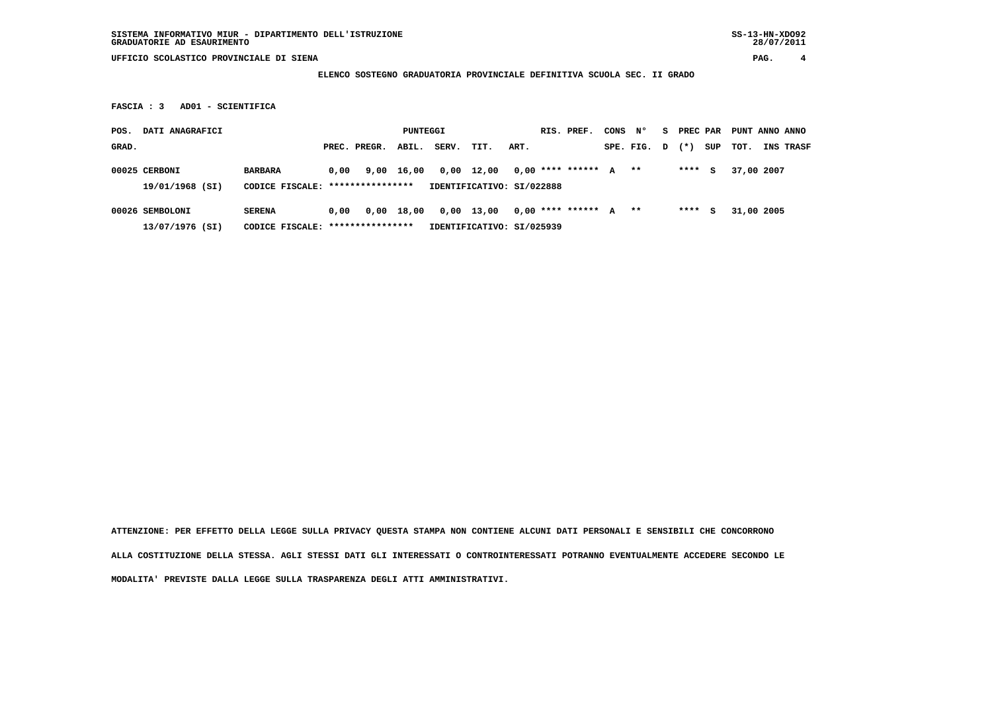### **ELENCO SOSTEGNO GRADUATORIA PROVINCIALE DEFINITIVA SCUOLA SEC. II GRADO**

 **FASCIA : 3 AD01 - SCIENTIFICA**

| POS.  | DATI ANAGRAFICI |                                  |      |              | PUNTEGGI   |                           |            |      | RIS. PREF.              | CONS | N°        | s. | PREC PAR |     | PUNT ANNO ANNO |                  |
|-------|-----------------|----------------------------------|------|--------------|------------|---------------------------|------------|------|-------------------------|------|-----------|----|----------|-----|----------------|------------------|
| GRAD. |                 |                                  |      | PREC. PREGR. | ABIL.      | SERV.                     | TIT.       | ART. |                         |      | SPE. FIG. | D  | $(* )$   | SUP | тот.           | <b>INS TRASF</b> |
|       | 00025 CERBONI   | <b>BARBARA</b>                   | 0.00 |              | 9,00 16,00 |                           | 0,00 12,00 |      | $0.00$ **** ****** A ** |      |           |    | ****     | s   | 37,00 2007     |                  |
|       | 19/01/1968 (SI) | CODICE FISCALE: **************** |      |              |            | IDENTIFICATIVO: SI/022888 |            |      |                         |      |           |    |          |     |                |                  |
|       | 00026 SEMBOLONI | <b>SERENA</b>                    | 0.00 | 0,00         | 18,00      |                           | 0,00 13,00 |      | $0,00$ **** ****** A ** |      |           |    | ****     | s   | 31,00 2005     |                  |

 **13/07/1976 (SI) CODICE FISCALE: \*\*\*\*\*\*\*\*\*\*\*\*\*\*\*\* IDENTIFICATIVO: SI/025939**

 **ATTENZIONE: PER EFFETTO DELLA LEGGE SULLA PRIVACY QUESTA STAMPA NON CONTIENE ALCUNI DATI PERSONALI E SENSIBILI CHE CONCORRONO ALLA COSTITUZIONE DELLA STESSA. AGLI STESSI DATI GLI INTERESSATI O CONTROINTERESSATI POTRANNO EVENTUALMENTE ACCEDERE SECONDO LE MODALITA' PREVISTE DALLA LEGGE SULLA TRASPARENZA DEGLI ATTI AMMINISTRATIVI.**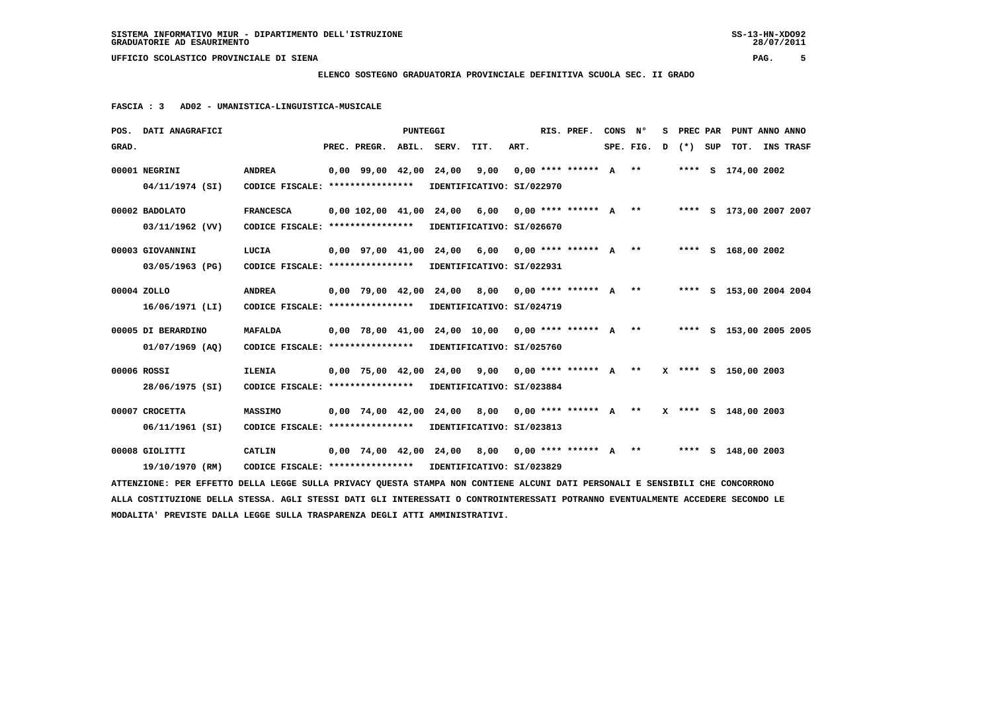## **ELENCO SOSTEGNO GRADUATORIA PROVINCIALE DEFINITIVA SCUOLA SEC. II GRADO**

 **FASCIA : 3 AD02 - UMANISTICA-LINGUISTICA-MUSICALE**

| POS. DATI ANAGRAFICI                                                                                                            |                                                            |  |                          | <b>PUNTEGGI</b> |                                                                                |      |      |  | RIS. PREF.                | CONS N <sup>o</sup> |                     | S PREC PAR | PUNT ANNO ANNO     |                  |  |
|---------------------------------------------------------------------------------------------------------------------------------|------------------------------------------------------------|--|--------------------------|-----------------|--------------------------------------------------------------------------------|------|------|--|---------------------------|---------------------|---------------------|------------|--------------------|------------------|--|
| GRAD.                                                                                                                           |                                                            |  | PREC. PREGR.             |                 | ABIL. SERV.                                                                    | TIT. | ART. |  |                           |                     | SPE. FIG. D (*) SUP |            | тот.               | <b>INS TRASF</b> |  |
| 00001 NEGRINI                                                                                                                   | <b>ANDREA</b>                                              |  | $0,00$ 99,00 42,00 24,00 |                 |                                                                                | 9,00 |      |  | $0.00$ **** ****** $A$ ** |                     |                     |            | **** S 174,00 2002 |                  |  |
| 04/11/1974 (SI)                                                                                                                 | CODICE FISCALE: **************** IDENTIFICATIVO: SI/022970 |  |                          |                 |                                                                                |      |      |  |                           |                     |                     |            |                    |                  |  |
| 00002 BADOLATO                                                                                                                  | <b>FRANCESCA</b>                                           |  |                          |                 | $0,00$ 102,00 41,00 24,00 6,00 0,00 **** ****** A ** ****** S 173,00 2007 2007 |      |      |  |                           |                     |                     |            |                    |                  |  |
| $03/11/1962$ (VV)                                                                                                               | CODICE FISCALE: **************** IDENTIFICATIVO: SI/026670 |  |                          |                 |                                                                                |      |      |  |                           |                     |                     |            |                    |                  |  |
| 00003 GIOVANNINI                                                                                                                | LUCIA                                                      |  |                          |                 | 0,00 97,00 41,00 24,00 6,00 0,00 **** ****** A ** ***** S 168,00 2002          |      |      |  |                           |                     |                     |            |                    |                  |  |
| 03/05/1963 (PG)                                                                                                                 | CODICE FISCALE: ****************                           |  |                          |                 | IDENTIFICATIVO: SI/022931                                                      |      |      |  |                           |                     |                     |            |                    |                  |  |
| 00004 ZOLLO                                                                                                                     | <b>ANDREA</b>                                              |  |                          |                 | 0,00 79,00 42,00 24,00 8,00 0,00 **** ****** A ** ***** \$ 153,00 2004 2004    |      |      |  |                           |                     |                     |            |                    |                  |  |
| 16/06/1971 (LI)                                                                                                                 | CODICE FISCALE: *****************                          |  |                          |                 | IDENTIFICATIVO: SI/024719                                                      |      |      |  |                           |                     |                     |            |                    |                  |  |
| 00005 DI BERARDINO                                                                                                              | <b>MAFALDA</b>                                             |  |                          |                 | 0,00 78,00 41,00 24,00 10,00 0,00 **** ****** A ** ***** \$ 153,00 2005 2005   |      |      |  |                           |                     |                     |            |                    |                  |  |
| $01/07/1969$ (AQ)                                                                                                               | CODICE FISCALE: ****************                           |  |                          |                 | IDENTIFICATIVO: SI/025760                                                      |      |      |  |                           |                     |                     |            |                    |                  |  |
| 00006 ROSSI                                                                                                                     | <b>ILENIA</b>                                              |  |                          |                 | $0.00$ 75.00 42.00 24.00 9.00 0.00 **** ****** A ** X **** S 150.00 2003       |      |      |  |                           |                     |                     |            |                    |                  |  |
| 28/06/1975 (SI)                                                                                                                 | CODICE FISCALE: ****************                           |  |                          |                 | IDENTIFICATIVO: SI/023884                                                      |      |      |  |                           |                     |                     |            |                    |                  |  |
| 00007 CROCETTA                                                                                                                  | <b>MASSIMO</b>                                             |  |                          |                 | 0,00 74,00 42,00 24,00 8,00 0,00 **** ****** A ** X **** S 148,00 2003         |      |      |  |                           |                     |                     |            |                    |                  |  |
| 06/11/1961 (SI)                                                                                                                 | CODICE FISCALE: ****************                           |  |                          |                 | IDENTIFICATIVO: SI/023813                                                      |      |      |  |                           |                     |                     |            |                    |                  |  |
| 00008 GIOLITTI                                                                                                                  | CATLIN                                                     |  |                          |                 | 0,00 74,00 42,00 24,00 8,00 0,00 **** ****** A ** ***** S 148,00 2003          |      |      |  |                           |                     |                     |            |                    |                  |  |
| 19/10/1970 (RM)                                                                                                                 | CODICE FISCALE: **************** IDENTIFICATIVO: SI/023829 |  |                          |                 |                                                                                |      |      |  |                           |                     |                     |            |                    |                  |  |
| ATTENZIONE: PER EFFETTO DELLA LEGGE SULLA PRIVACY QUESTA STAMPA NON CONTIENE ALCUNI DATI PERSONALI E SENSIBILI CHE CONCORRONO   |                                                            |  |                          |                 |                                                                                |      |      |  |                           |                     |                     |            |                    |                  |  |
| ALLA COSTITUZIONE DELLA STESSA. AGLI STESSI DATI GLI INTERESSATI O CONTROINTERESSATI POTRANNO EVENTUALMENTE ACCEDERE SECONDO LE |                                                            |  |                          |                 |                                                                                |      |      |  |                           |                     |                     |            |                    |                  |  |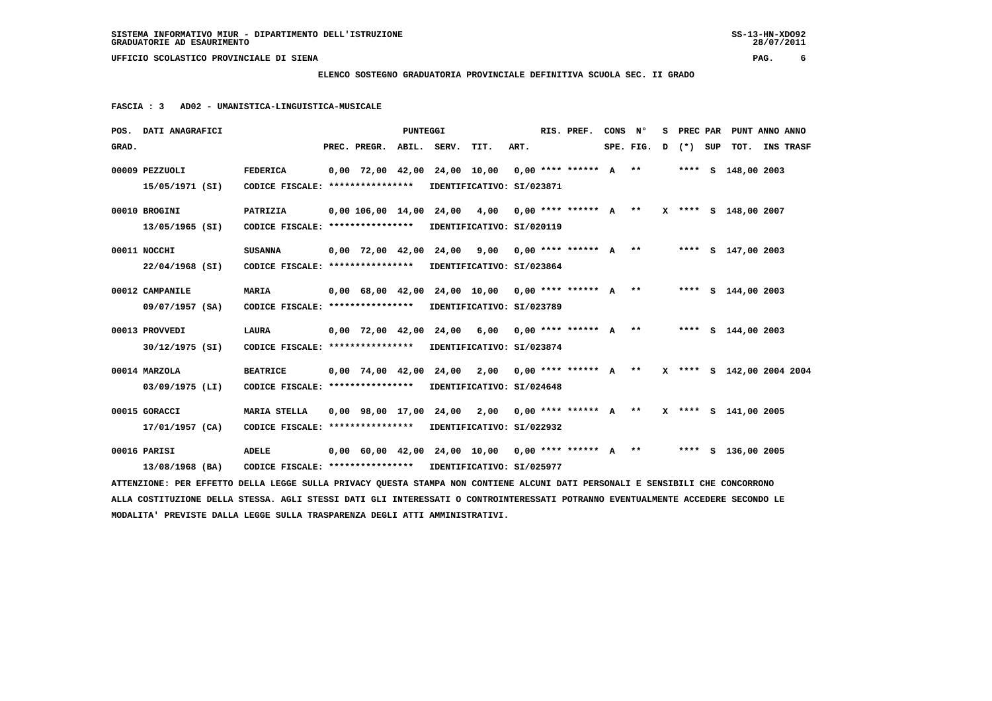## **ELENCO SOSTEGNO GRADUATORIA PROVINCIALE DEFINITIVA SCUOLA SEC. II GRADO**

 **FASCIA : 3 AD02 - UMANISTICA-LINGUISTICA-MUSICALE**

|       | POS. DATI ANAGRAFICI                                                                                                            |                                                            |  |                          | <b>PUNTEGGI</b> |  |                                                                          |      |  | RIS. PREF. | CONS N° |                      |  |  | S PREC PAR PUNT ANNO ANNO |  |           |
|-------|---------------------------------------------------------------------------------------------------------------------------------|------------------------------------------------------------|--|--------------------------|-----------------|--|--------------------------------------------------------------------------|------|--|------------|---------|----------------------|--|--|---------------------------|--|-----------|
| GRAD. |                                                                                                                                 |                                                            |  | PREC. PREGR. ABIL. SERV. |                 |  | TIT.                                                                     | ART. |  |            |         | $SPE.FIG. D (*) SUP$ |  |  | тот.                      |  | INS TRASF |
|       | 00009 PEZZUOLI                                                                                                                  | <b>FEDERICA</b>                                            |  |                          |                 |  | 0,00 72,00 42,00 24,00 10,00 0,00 **** ****** A ** ***** S 148,00 2003   |      |  |            |         |                      |  |  |                           |  |           |
|       | 15/05/1971 (SI)                                                                                                                 | CODICE FISCALE: **************** IDENTIFICATIVO: SI/023871 |  |                          |                 |  |                                                                          |      |  |            |         |                      |  |  |                           |  |           |
|       | 00010 BROGINI                                                                                                                   | <b>PATRIZIA</b>                                            |  |                          |                 |  | 0,00 106,00 14,00 24,00 4,00 0,00 **** ****** A ** X **** S 148,00 2007  |      |  |            |         |                      |  |  |                           |  |           |
|       | 13/05/1965 (SI)                                                                                                                 | CODICE FISCALE: **************** IDENTIFICATIVO: SI/020119 |  |                          |                 |  |                                                                          |      |  |            |         |                      |  |  |                           |  |           |
|       | 00011 NOCCHI                                                                                                                    | <b>SUSANNA</b>                                             |  |                          |                 |  | 0,00 72,00 42,00 24,00 9,00 0,00 **** ****** A **                        |      |  |            |         |                      |  |  | **** S 147,00 2003        |  |           |
|       | $22/04/1968$ (SI)                                                                                                               | CODICE FISCALE: **************** IDENTIFICATIVO: SI/023864 |  |                          |                 |  |                                                                          |      |  |            |         |                      |  |  |                           |  |           |
|       | 00012 CAMPANILE                                                                                                                 | <b>MARIA</b>                                               |  |                          |                 |  | 0,00 68,00 42,00 24,00 10,00 0,00 **** ****** A ** ***** S 144,00 2003   |      |  |            |         |                      |  |  |                           |  |           |
|       | 09/07/1957 (SA)                                                                                                                 | CODICE FISCALE: **************** IDENTIFICATIVO: SI/023789 |  |                          |                 |  |                                                                          |      |  |            |         |                      |  |  |                           |  |           |
|       | 00013 PROVVEDI                                                                                                                  | LAURA                                                      |  |                          |                 |  | 0,00 72,00 42,00 24,00 6,00 0,00 **** ****** A ** ***** S 144,00 2003    |      |  |            |         |                      |  |  |                           |  |           |
|       | 30/12/1975 (SI)                                                                                                                 | CODICE FISCALE: **************** IDENTIFICATIVO: SI/023874 |  |                          |                 |  |                                                                          |      |  |            |         |                      |  |  |                           |  |           |
|       | 00014 MARZOLA                                                                                                                   | <b>BEATRICE</b>                                            |  |                          |                 |  | $0,00$ 74,00 42,00 24,00 2,00 0,00 **** ****** A **                      |      |  |            |         |                      |  |  | X **** S 142,00 2004 2004 |  |           |
|       | 03/09/1975 (LI)                                                                                                                 | CODICE FISCALE: **************** IDENTIFICATIVO: SI/024648 |  |                          |                 |  |                                                                          |      |  |            |         |                      |  |  |                           |  |           |
|       | 00015 GORACCI                                                                                                                   | <b>MARIA STELLA</b>                                        |  |                          |                 |  | $0,00$ 98,00 17,00 24,00 2,00 0,00 **** ****** A **                      |      |  |            |         |                      |  |  | X **** S 141,00 2005      |  |           |
|       | 17/01/1957 (CA)                                                                                                                 | CODICE FISCALE: **************** IDENTIFICATIVO: SI/022932 |  |                          |                 |  |                                                                          |      |  |            |         |                      |  |  |                           |  |           |
|       | 00016 PARISI                                                                                                                    | <b>ADELE</b>                                               |  |                          |                 |  | $0.00$ 60.00 42.00 24.00 10.00 0.00 **** ****** A ** ***** S 136.00 2005 |      |  |            |         |                      |  |  |                           |  |           |
|       | 13/08/1968 (BA)                                                                                                                 | CODICE FISCALE: **************** IDENTIFICATIVO: SI/025977 |  |                          |                 |  |                                                                          |      |  |            |         |                      |  |  |                           |  |           |
|       | ATTENZIONE: PER EFFETTO DELLA LEGGE SULLA PRIVACY QUESTA STAMPA NON CONTIENE ALCUNI DATI PERSONALI E SENSIBILI CHE CONCORRONO   |                                                            |  |                          |                 |  |                                                                          |      |  |            |         |                      |  |  |                           |  |           |
|       | ALLA COSTITUZIONE DELLA STESSA. AGLI STESSI DATI GLI INTERESSATI O CONTROINTERESSATI POTRANNO EVENTUALMENTE ACCEDERE SECONDO LE |                                                            |  |                          |                 |  |                                                                          |      |  |            |         |                      |  |  |                           |  |           |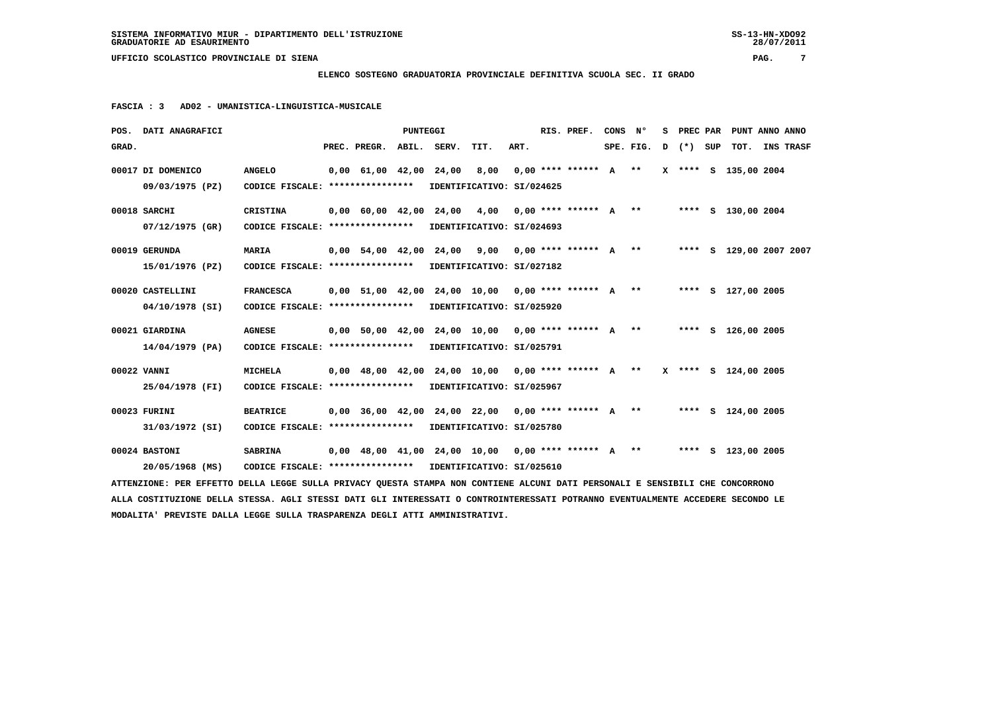#### **ELENCO SOSTEGNO GRADUATORIA PROVINCIALE DEFINITIVA SCUOLA SEC. II GRADO**

 **FASCIA : 3 AD02 - UMANISTICA-LINGUISTICA-MUSICALE**

| POS. DATI ANAGRAFICI                                                                                                            |                                                            |  |                                            | <b>PUNTEGGI</b> |       |                                                                          |      |  | RIS. PREF.                | CONS N° |           | s. | PREC PAR  |                      | PUNT ANNO ANNO          |  |
|---------------------------------------------------------------------------------------------------------------------------------|------------------------------------------------------------|--|--------------------------------------------|-----------------|-------|--------------------------------------------------------------------------|------|--|---------------------------|---------|-----------|----|-----------|----------------------|-------------------------|--|
| GRAD.                                                                                                                           |                                                            |  | PREC. PREGR.                               | ABIL.           | SERV. | TIT.                                                                     | ART. |  |                           |         | SPE. FIG. |    | D (*) SUP | тот.                 | INS TRASF               |  |
| 00017 DI DOMENICO                                                                                                               | <b>ANGELO</b>                                              |  | $0,00 \quad 61,00 \quad 42,00 \quad 24,00$ |                 |       | 8,00                                                                     |      |  | $0.00$ **** ****** $A$ ** |         |           |    |           | X **** S 135,00 2004 |                         |  |
| 09/03/1975 (PZ)                                                                                                                 | CODICE FISCALE: ****************                           |  |                                            |                 |       | IDENTIFICATIVO: SI/024625                                                |      |  |                           |         |           |    |           |                      |                         |  |
| 00018 SARCHI                                                                                                                    | CRISTINA                                                   |  |                                            |                 |       | 0,00 60,00 42,00 24,00 4,00 0,00 **** ****** A ** ***** S 130,00 2004    |      |  |                           |         |           |    |           |                      |                         |  |
| 07/12/1975 (GR)                                                                                                                 | CODICE FISCALE: *****************                          |  |                                            |                 |       | IDENTIFICATIVO: SI/024693                                                |      |  |                           |         |           |    |           |                      |                         |  |
| 00019 GERUNDA                                                                                                                   | MARIA                                                      |  |                                            |                 |       | $0,00$ 54,00 42,00 24,00 9,00 0,00 **** ****** A **                      |      |  |                           |         |           |    |           |                      | **** S 129,00 2007 2007 |  |
| 15/01/1976 (PZ)                                                                                                                 | CODICE FISCALE: **************** IDENTIFICATIVO: SI/027182 |  |                                            |                 |       |                                                                          |      |  |                           |         |           |    |           |                      |                         |  |
| 00020 CASTELLINI                                                                                                                | <b>FRANCESCA</b>                                           |  |                                            |                 |       | $0,00$ 51,00 42,00 24,00 10,00 0,00 **** ****** A **                     |      |  |                           |         |           |    |           | **** S 127,00 2005   |                         |  |
| 04/10/1978 (SI)                                                                                                                 | CODICE FISCALE: ****************                           |  |                                            |                 |       | IDENTIFICATIVO: SI/025920                                                |      |  |                           |         |           |    |           |                      |                         |  |
| 00021 GIARDINA                                                                                                                  | <b>AGNESE</b>                                              |  |                                            |                 |       | 0,00 50,00 42,00 24,00 10,00 0,00 **** ****** A **                       |      |  |                           |         |           |    |           | **** S 126,00 2005   |                         |  |
| 14/04/1979 (PA)                                                                                                                 | CODICE FISCALE: **************** IDENTIFICATIVO: SI/025791 |  |                                            |                 |       |                                                                          |      |  |                           |         |           |    |           |                      |                         |  |
| 00022 VANNI                                                                                                                     | <b>MICHELA</b>                                             |  |                                            |                 |       | 0,00 48,00 42,00 24,00 10,00 0,00 **** ****** A ** X **** S 124,00 2005  |      |  |                           |         |           |    |           |                      |                         |  |
| 25/04/1978 (FI)                                                                                                                 | CODICE FISCALE: ****************                           |  |                                            |                 |       | IDENTIFICATIVO: SI/025967                                                |      |  |                           |         |           |    |           |                      |                         |  |
| 00023 FURINI                                                                                                                    | <b>BEATRICE</b>                                            |  |                                            |                 |       | 0,00 36,00 42,00 24,00 22,00 0,00 **** ****** A ** ***** \$ 124,00 2005  |      |  |                           |         |           |    |           |                      |                         |  |
| 31/03/1972 (SI)                                                                                                                 | CODICE FISCALE: *****************                          |  |                                            |                 |       | IDENTIFICATIVO: SI/025780                                                |      |  |                           |         |           |    |           |                      |                         |  |
| 00024 BASTONI                                                                                                                   | <b>SABRINA</b>                                             |  |                                            |                 |       | $0.00$ 48.00 41.00 24.00 10.00 0.00 **** ****** A ** ***** S 123.00 2005 |      |  |                           |         |           |    |           |                      |                         |  |
| 20/05/1968 (MS)                                                                                                                 | CODICE FISCALE: **************** IDENTIFICATIVO: SI/025610 |  |                                            |                 |       |                                                                          |      |  |                           |         |           |    |           |                      |                         |  |
| ATTENZIONE: PER EFFETTO DELLA LEGGE SULLA PRIVACY QUESTA STAMPA NON CONTIENE ALCUNI DATI PERSONALI E SENSIBILI CHE CONCORRONO   |                                                            |  |                                            |                 |       |                                                                          |      |  |                           |         |           |    |           |                      |                         |  |
| ALLA COSTITUZIONE DELLA STESSA. AGLI STESSI DATI GLI INTERESSATI O CONTROINTERESSATI POTRANNO EVENTUALMENTE ACCEDERE SECONDO LE |                                                            |  |                                            |                 |       |                                                                          |      |  |                           |         |           |    |           |                      |                         |  |
| MODALITA' PREVISTE DALLA LEGGE SULLA TRASPARENZA DEGLI ATTI AMMINISTRATIVI.                                                     |                                                            |  |                                            |                 |       |                                                                          |      |  |                           |         |           |    |           |                      |                         |  |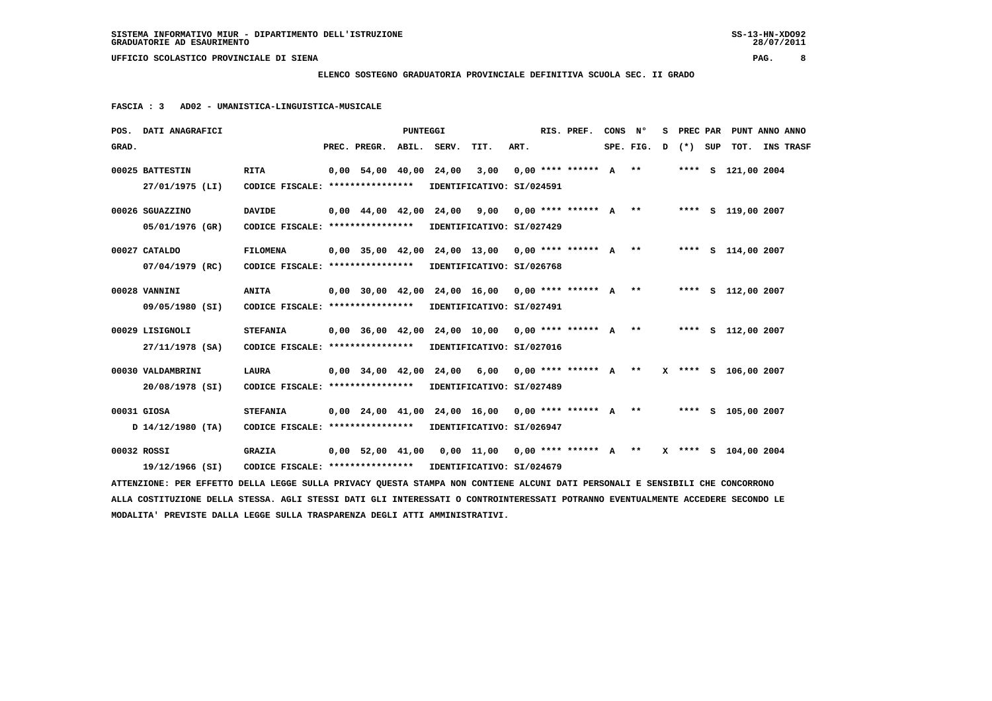### **ELENCO SOSTEGNO GRADUATORIA PROVINCIALE DEFINITIVA SCUOLA SEC. II GRADO**

 **FASCIA : 3 AD02 - UMANISTICA-LINGUISTICA-MUSICALE**

|       | POS. DATI ANAGRAFICI                                                                                                            |                                                            |  |                          | PUNTEGGI |                        |                                                                        |      |  | RIS. PREF.           | CONS N <sup>o</sup> |           |   |         | S PREC PAR PUNT ANNO ANNO |  |                  |
|-------|---------------------------------------------------------------------------------------------------------------------------------|------------------------------------------------------------|--|--------------------------|----------|------------------------|------------------------------------------------------------------------|------|--|----------------------|---------------------|-----------|---|---------|---------------------------|--|------------------|
| GRAD. |                                                                                                                                 |                                                            |  | PREC. PREGR. ABIL. SERV. |          |                        | TIT.                                                                   | ART. |  |                      |                     | SPE. FIG. | D | (*) SUP | тот.                      |  | <b>INS TRASF</b> |
|       | 00025 BATTESTIN                                                                                                                 | <b>RITA</b>                                                |  |                          |          | 0,00 54,00 40,00 24,00 | 3,00                                                                   |      |  | $0.00********* A***$ |                     |           |   |         | **** S 121,00 2004        |  |                  |
|       | 27/01/1975 (LI)                                                                                                                 | CODICE FISCALE: **************** IDENTIFICATIVO: SI/024591 |  |                          |          |                        |                                                                        |      |  |                      |                     |           |   |         |                           |  |                  |
|       | 00026 SGUAZZINO                                                                                                                 | <b>DAVIDE</b>                                              |  |                          |          |                        | $0,00$ 44,00 42,00 24,00 9,00 0,00 **** ****** A **                    |      |  |                      |                     |           |   |         | **** S 119,00 2007        |  |                  |
|       | 05/01/1976 (GR)                                                                                                                 | CODICE FISCALE: **************** IDENTIFICATIVO: SI/027429 |  |                          |          |                        |                                                                        |      |  |                      |                     |           |   |         |                           |  |                  |
|       | 00027 CATALDO                                                                                                                   | <b>FILOMENA</b>                                            |  |                          |          |                        | 0,00 35,00 42,00 24,00 13,00 0,00 **** ****** A ** ***** S 114,00 2007 |      |  |                      |                     |           |   |         |                           |  |                  |
|       | 07/04/1979 (RC)                                                                                                                 | CODICE FISCALE: **************** IDENTIFICATIVO: SI/026768 |  |                          |          |                        |                                                                        |      |  |                      |                     |           |   |         |                           |  |                  |
|       | 00028 VANNINI                                                                                                                   | <b>ANITA</b>                                               |  |                          |          |                        | $0.00$ 30.00 42.00 24.00 16.00 0.00 **** ****** A **                   |      |  |                      |                     |           |   |         | **** S 112,00 2007        |  |                  |
|       | 09/05/1980 (SI)                                                                                                                 | CODICE FISCALE: **************** IDENTIFICATIVO: SI/027491 |  |                          |          |                        |                                                                        |      |  |                      |                     |           |   |         |                           |  |                  |
|       | 00029 LISIGNOLI                                                                                                                 | <b>STEFANIA</b>                                            |  |                          |          |                        | $0.00$ 36,00 42,00 24,00 10,00 0,00 **** ****** A **                   |      |  |                      |                     |           |   |         | **** S 112,00 2007        |  |                  |
|       | 27/11/1978 (SA)                                                                                                                 | CODICE FISCALE: **************** IDENTIFICATIVO: SI/027016 |  |                          |          |                        |                                                                        |      |  |                      |                     |           |   |         |                           |  |                  |
|       | 00030 VALDAMBRINI                                                                                                               | <b>LAURA</b>                                               |  |                          |          |                        | $0,00$ 34,00 42,00 24,00 6,00 0,00 **** ****** A **                    |      |  |                      |                     |           |   |         | X **** S 106,00 2007      |  |                  |
|       | 20/08/1978 (SI)                                                                                                                 | CODICE FISCALE: **************** IDENTIFICATIVO: SI/027489 |  |                          |          |                        |                                                                        |      |  |                      |                     |           |   |         |                           |  |                  |
|       | 00031 GIOSA                                                                                                                     | <b>STEFANIA</b>                                            |  |                          |          |                        | 0,00 24,00 41,00 24,00 16,00 0,00 **** ****** A ** ***** S 105,00 2007 |      |  |                      |                     |           |   |         |                           |  |                  |
|       | J 14/12/1980 (TA)                                                                                                               | CODICE FISCALE: ****************                           |  |                          |          |                        | IDENTIFICATIVO: SI/026947                                              |      |  |                      |                     |           |   |         |                           |  |                  |
|       | 00032 ROSSI                                                                                                                     | <b>GRAZIA</b>                                              |  |                          |          |                        | 0,00 52,00 41,00 0,00 11,00 0,00 **** ****** A ** X **** S 104,00 2004 |      |  |                      |                     |           |   |         |                           |  |                  |
|       | 19/12/1966 (SI)                                                                                                                 | CODICE FISCALE: **************** IDENTIFICATIVO: SI/024679 |  |                          |          |                        |                                                                        |      |  |                      |                     |           |   |         |                           |  |                  |
|       | ATTENZIONE: PER EFFETTO DELLA LEGGE SULLA PRIVACY QUESTA STAMPA NON CONTIENE ALCUNI DATI PERSONALI E SENSIBILI CHE CONCORRONO   |                                                            |  |                          |          |                        |                                                                        |      |  |                      |                     |           |   |         |                           |  |                  |
|       | ALLA COSTITUZIONE DELLA STESSA. AGLI STESSI DATI GLI INTERESSATI O CONTROINTERESSATI POTRANNO EVENTUALMENTE ACCEDERE SECONDO LE |                                                            |  |                          |          |                        |                                                                        |      |  |                      |                     |           |   |         |                           |  |                  |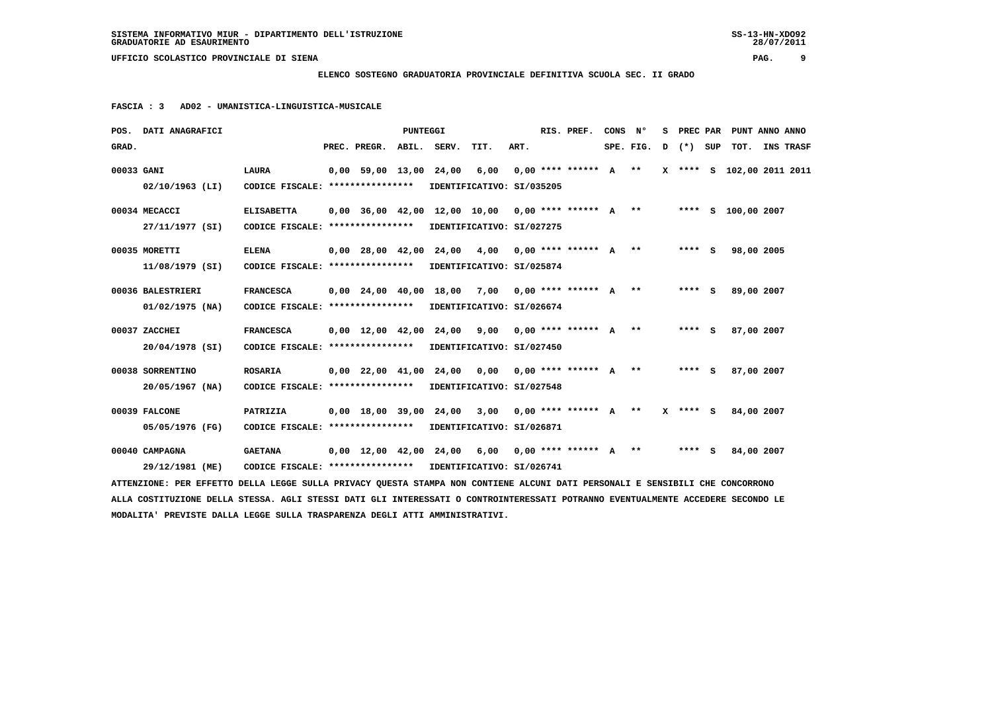### **ELENCO SOSTEGNO GRADUATORIA PROVINCIALE DEFINITIVA SCUOLA SEC. II GRADO**

 **FASCIA : 3 AD02 - UMANISTICA-LINGUISTICA-MUSICALE**

|                                                                                                                                 | POS. DATI ANAGRAFICI |                                                            |  |                                | PUNTEGGI |  |                                                      |      |  | RIS. PREF.                | CONS N <sup>o</sup> |           | s | PREC PAR | PUNT ANNO ANNO            |  |                  |
|---------------------------------------------------------------------------------------------------------------------------------|----------------------|------------------------------------------------------------|--|--------------------------------|----------|--|------------------------------------------------------|------|--|---------------------------|---------------------|-----------|---|----------|---------------------------|--|------------------|
| GRAD.                                                                                                                           |                      |                                                            |  | PREC. PREGR. ABIL. SERV.       |          |  | TIT.                                                 | ART. |  |                           |                     | SPE. FIG. | D | (*) SUP  | тот.                      |  | <b>INS TRASF</b> |
| 00033 GANI                                                                                                                      |                      | <b>LAURA</b>                                               |  | 0,00 59,00 13,00 24,00         |          |  | 6,00                                                 |      |  | $0.00$ **** ****** $A$ ** |                     |           |   |          | X **** S 102,00 2011 2011 |  |                  |
|                                                                                                                                 | 02/10/1963 (LI)      | CODICE FISCALE: **************** IDENTIFICATIVO: SI/035205 |  |                                |          |  |                                                      |      |  |                           |                     |           |   |          |                           |  |                  |
|                                                                                                                                 | 00034 MECACCI        | <b>ELISABETTA</b>                                          |  |                                |          |  | $0,00$ 36,00 42,00 12,00 10,00 0,00 **** ****** A ** |      |  |                           |                     |           |   |          | **** S 100,00 2007        |  |                  |
|                                                                                                                                 | 27/11/1977 (SI)      | CODICE FISCALE: **************** IDENTIFICATIVO: SI/027275 |  |                                |          |  |                                                      |      |  |                           |                     |           |   |          |                           |  |                  |
|                                                                                                                                 | 00035 MORETTI        | <b>ELENA</b>                                               |  | $0,00$ $28,00$ $42,00$ $24,00$ |          |  | 4,00 0,00 **** ****** A **                           |      |  |                           |                     |           |   | $***$ S  | 98,00 2005                |  |                  |
|                                                                                                                                 | 11/08/1979 (SI)      | CODICE FISCALE: **************** IDENTIFICATIVO: SI/025874 |  |                                |          |  |                                                      |      |  |                           |                     |           |   |          |                           |  |                  |
|                                                                                                                                 | 00036 BALESTRIERI    | <b>FRANCESCA</b>                                           |  |                                |          |  | $0.00$ 24.00 40.00 18.00 7.00 0.00 **** ****** A **  |      |  |                           |                     |           |   | $***$ S  | 89,00 2007                |  |                  |
|                                                                                                                                 | $01/02/1975$ (NA)    | CODICE FISCALE: **************** IDENTIFICATIVO: SI/026674 |  |                                |          |  |                                                      |      |  |                           |                     |           |   |          |                           |  |                  |
|                                                                                                                                 | 00037 ZACCHEI        | <b>FRANCESCA</b>                                           |  | $0,00$ 12,00 42,00 24,00       |          |  | 9,00 0,00 **** ****** A **                           |      |  |                           |                     |           |   | $***$ S  | 87,00 2007                |  |                  |
|                                                                                                                                 | 20/04/1978 (SI)      | CODICE FISCALE: **************** IDENTIFICATIVO: SI/027450 |  |                                |          |  |                                                      |      |  |                           |                     |           |   |          |                           |  |                  |
|                                                                                                                                 | 00038 SORRENTINO     | <b>ROSARIA</b>                                             |  | $0,00$ $22,00$ $41,00$ $24,00$ |          |  | 0,00 0,00 **** ****** A **                           |      |  |                           |                     |           |   | $***$ S  | 87,00 2007                |  |                  |
|                                                                                                                                 | $20/05/1967$ (NA)    | CODICE FISCALE: **************** IDENTIFICATIVO: SI/027548 |  |                                |          |  |                                                      |      |  |                           |                     |           |   |          |                           |  |                  |
|                                                                                                                                 | 00039 FALCONE        | PATRIZIA                                                   |  |                                |          |  | $0,00$ 18,00 39,00 24,00 3,00 0,00 **** ****** A **  |      |  |                           |                     |           |   | X **** S | 84,00 2007                |  |                  |
|                                                                                                                                 | 05/05/1976 (FG)      | CODICE FISCALE: **************** IDENTIFICATIVO: SI/026871 |  |                                |          |  |                                                      |      |  |                           |                     |           |   |          |                           |  |                  |
|                                                                                                                                 | 00040 CAMPAGNA       | <b>GAETANA</b>                                             |  |                                |          |  | $0,00$ 12,00 42,00 24,00 6,00 0,00 **** ****** A **  |      |  |                           |                     |           |   | **** S   | 84,00 2007                |  |                  |
|                                                                                                                                 | 29/12/1981 (ME)      | CODICE FISCALE: **************** IDENTIFICATIVO: SI/026741 |  |                                |          |  |                                                      |      |  |                           |                     |           |   |          |                           |  |                  |
| ATTENZIONE: PER EFFETTO DELLA LEGGE SULLA PRIVACY QUESTA STAMPA NON CONTIENE ALCUNI DATI PERSONALI E SENSIBILI CHE CONCORRONO   |                      |                                                            |  |                                |          |  |                                                      |      |  |                           |                     |           |   |          |                           |  |                  |
| ALLA COSTITUZIONE DELLA STESSA. AGLI STESSI DATI GLI INTERESSATI O CONTROINTERESSATI POTRANNO EVENTUALMENTE ACCEDERE SECONDO LE |                      |                                                            |  |                                |          |  |                                                      |      |  |                           |                     |           |   |          |                           |  |                  |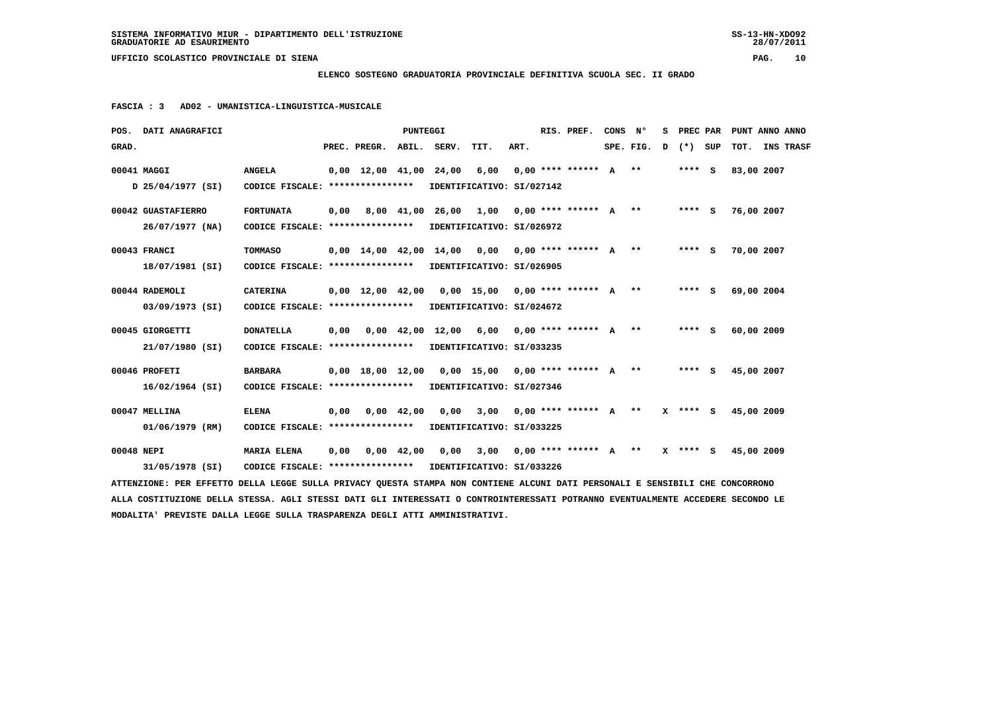**ELENCO SOSTEGNO GRADUATORIA PROVINCIALE DEFINITIVA SCUOLA SEC. II GRADO**

 **FASCIA : 3 AD02 - UMANISTICA-LINGUISTICA-MUSICALE**

| POS. DATI ANAGRAFICI                                                                                                            |                                                            |      |                                            | PUNTEGGI           |                                                     |                                                     |      | RIS. PREF. | CONS N° |           | s | PREC PAR   | PUNT ANNO ANNO |                  |
|---------------------------------------------------------------------------------------------------------------------------------|------------------------------------------------------------|------|--------------------------------------------|--------------------|-----------------------------------------------------|-----------------------------------------------------|------|------------|---------|-----------|---|------------|----------------|------------------|
| GRAD.                                                                                                                           |                                                            |      | PREC. PREGR. ABIL. SERV.                   |                    |                                                     | TIT.                                                | ART. |            |         | SPE. FIG. | D | (*) SUP    | тот.           | <b>INS TRASF</b> |
| 00041 MAGGI                                                                                                                     | <b>ANGELA</b>                                              |      | $0,00 \quad 12,00 \quad 41,00 \quad 24,00$ |                    |                                                     | 6,00 0,00 **** ****** A **                          |      |            |         |           |   | $***$ S    | 83,00 2007     |                  |
| D 25/04/1977 (SI)                                                                                                               | CODICE FISCALE: **************** IDENTIFICATIVO: SI/027142 |      |                                            |                    |                                                     |                                                     |      |            |         |           |   |            |                |                  |
| 00042 GUASTAFIERRO                                                                                                              | <b>FORTUNATA</b>                                           |      |                                            |                    | $0,00$ 8,00 41,00 26,00 1,00 0,00 **** ****** A **  |                                                     |      |            |         |           |   | $***$ S    | 76,00 2007     |                  |
| 26/07/1977 (NA)                                                                                                                 | CODICE FISCALE: **************** IDENTIFICATIVO: SI/026972 |      |                                            |                    |                                                     |                                                     |      |            |         |           |   |            |                |                  |
| 00043 FRANCI                                                                                                                    | <b>TOMMASO</b>                                             |      |                                            |                    | $0,00$ 14,00 42,00 14,00 0,00 0,00 **** ****** A ** |                                                     |      |            |         |           |   | $***$ S    | 70,00 2007     |                  |
| 18/07/1981 (SI)                                                                                                                 | CODICE FISCALE: **************** IDENTIFICATIVO: SI/026905 |      |                                            |                    |                                                     |                                                     |      |            |         |           |   |            |                |                  |
| 00044 RADEMOLI                                                                                                                  | <b>CATERINA</b>                                            |      |                                            |                    | 0,00 12,00 42,00 0,00 15,00 0,00 **** ****** A **   |                                                     |      |            |         |           |   | $***$ S    | 69,00 2004     |                  |
| 03/09/1973 (SI)                                                                                                                 | CODICE FISCALE: **************** IDENTIFICATIVO: SI/024672 |      |                                            |                    |                                                     |                                                     |      |            |         |           |   |            |                |                  |
| 00045 GIORGETTI                                                                                                                 | <b>DONATELLA</b>                                           | 0,00 |                                            |                    | $0,00$ 42,00 12,00 6,00 0,00 **** ****** A **       |                                                     |      |            |         |           |   | **** S     | 60,00 2009     |                  |
| 21/07/1980 (SI)                                                                                                                 | CODICE FISCALE: ****************                           |      |                                            |                    |                                                     | IDENTIFICATIVO: SI/033235                           |      |            |         |           |   |            |                |                  |
| 00046 PROFETI                                                                                                                   | <b>BARBARA</b>                                             |      |                                            |                    | $0.00$ 18.00 12.00 0.00 15.00 0.00 **** ****** A ** |                                                     |      |            |         |           |   | $***$ S    | 45,00 2007     |                  |
| $16/02/1964$ (SI)                                                                                                               | CODICE FISCALE: *****************                          |      |                                            |                    |                                                     | IDENTIFICATIVO: SI/027346                           |      |            |         |           |   |            |                |                  |
| 00047 MELLINA                                                                                                                   | <b>ELENA</b>                                               | 0,00 |                                            | $0.00 \quad 42.00$ |                                                     | 0,00 3,00 0,00 **** ****** A **                     |      |            |         |           |   | $X$ **** S | 45,00 2009     |                  |
| 01/06/1979 (RM)                                                                                                                 | CODICE FISCALE: ****************                           |      |                                            |                    |                                                     | IDENTIFICATIVO: SI/033225                           |      |            |         |           |   |            |                |                  |
| 00048 NEPI                                                                                                                      | <b>MARIA ELENA</b>                                         | 0.00 |                                            | $0,00$ 42,00       |                                                     | 0,00 3,00 0,00 **** ****** A ** X **** S 45,00 2009 |      |            |         |           |   |            |                |                  |
| 31/05/1978 (SI)                                                                                                                 | CODICE FISCALE: **************** IDENTIFICATIVO: SI/033226 |      |                                            |                    |                                                     |                                                     |      |            |         |           |   |            |                |                  |
| ATTENZIONE: PER EFFETTO DELLA LEGGE SULLA PRIVACY QUESTA STAMPA NON CONTIENE ALCUNI DATI PERSONALI E SENSIBILI CHE CONCORRONO   |                                                            |      |                                            |                    |                                                     |                                                     |      |            |         |           |   |            |                |                  |
| ALLA COSTITUZIONE DELLA STESSA. AGLI STESSI DATI GLI INTERESSATI O CONTROINTERESSATI POTRANNO EVENTUALMENTE ACCEDERE SECONDO LE |                                                            |      |                                            |                    |                                                     |                                                     |      |            |         |           |   |            |                |                  |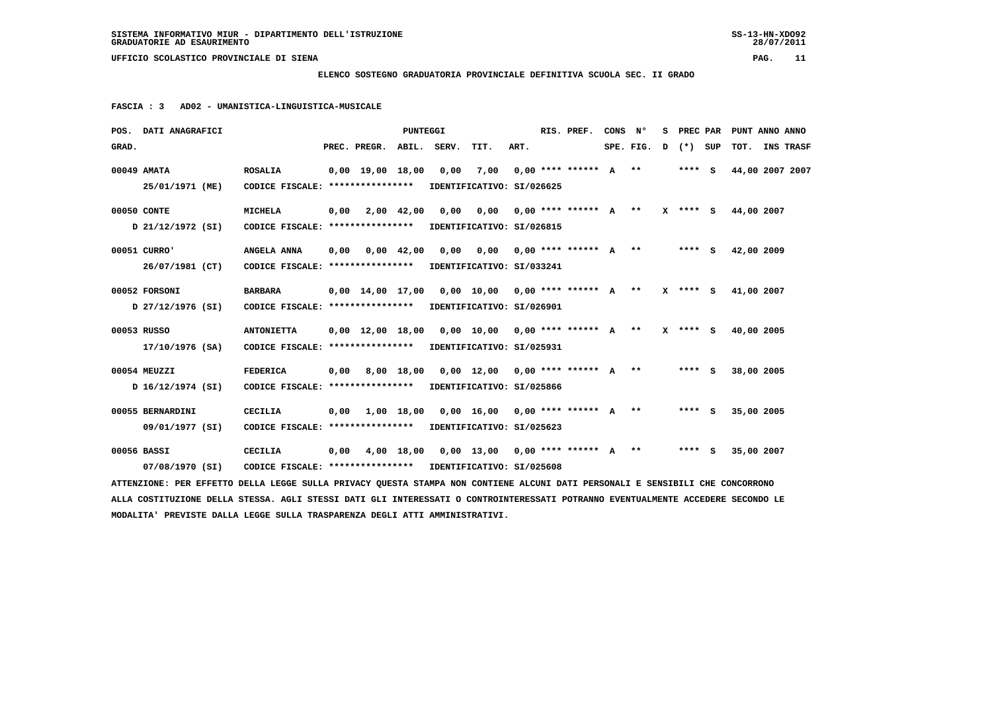**ELENCO SOSTEGNO GRADUATORIA PROVINCIALE DEFINITIVA SCUOLA SEC. II GRADO**

 **FASCIA : 3 AD02 - UMANISTICA-LINGUISTICA-MUSICALE**

|       | POS. DATI ANAGRAFICI                                                                                                            |                                                            |      |                          | PUNTEGGI   |                                                     |                                    |      | RIS. PREF. | CONS N° |           | s |          | PREC PAR PUNT ANNO ANNO |                  |
|-------|---------------------------------------------------------------------------------------------------------------------------------|------------------------------------------------------------|------|--------------------------|------------|-----------------------------------------------------|------------------------------------|------|------------|---------|-----------|---|----------|-------------------------|------------------|
| GRAD. |                                                                                                                                 |                                                            |      | PREC. PREGR. ABIL. SERV. |            |                                                     | TIT.                               | ART. |            |         | SPE. FIG. | D | (*) SUP  | тот.                    | <b>INS TRASF</b> |
|       | 00049 AMATA                                                                                                                     | <b>ROSALIA</b>                                             |      | $0,00$ 19,00 18,00       |            | 0,00                                                | 7,00 0,00 **** ****** A **         |      |            |         |           |   | $***$ S  | 44,00 2007 2007         |                  |
|       | 25/01/1971 (ME)                                                                                                                 | CODICE FISCALE: **************** IDENTIFICATIVO: SI/026625 |      |                          |            |                                                     |                                    |      |            |         |           |   |          |                         |                  |
|       | 00050 CONTE                                                                                                                     | <b>MICHELA</b>                                             |      | $0,00$ $2,00$ $42,00$    |            |                                                     | 0,00 0,00 0,00 **** ****** A **    |      |            |         |           |   |          | X **** S 44,00 2007     |                  |
|       | D 21/12/1972 (SI)                                                                                                               | CODICE FISCALE: **************** IDENTIFICATIVO: SI/026815 |      |                          |            |                                                     |                                    |      |            |         |           |   |          |                         |                  |
|       | 00051 CURRO'                                                                                                                    | ANGELA ANNA                                                |      | $0,00$ $0,00$ $42,00$    |            |                                                     | 0,00 0,00 0,00 **** ****** A **    |      |            |         |           |   | $***$ S  | 42,00 2009              |                  |
|       | 26/07/1981 (CT)                                                                                                                 | CODICE FISCALE: **************** IDENTIFICATIVO: SI/033241 |      |                          |            |                                                     |                                    |      |            |         |           |   |          |                         |                  |
|       | 00052 FORSONI                                                                                                                   | <b>BARBARA</b>                                             |      |                          |            | $0,00$ 14,00 17,00 0,00 10,00 0,00 **** ****** A ** |                                    |      |            |         |           |   | X **** S | 41,00 2007              |                  |
|       | D 27/12/1976 (SI)                                                                                                               | CODICE FISCALE: **************** IDENTIFICATIVO: SI/026901 |      |                          |            |                                                     |                                    |      |            |         |           |   |          |                         |                  |
|       | 00053 RUSSO                                                                                                                     | <b>ANTONIETTA</b>                                          |      |                          |            | $0,00$ 12,00 18,00 0,00 10,00 0,00 **** ****** A ** |                                    |      |            |         |           |   | X **** S | 40,00 2005              |                  |
|       | 17/10/1976 (SA)                                                                                                                 | CODICE FISCALE: *****************                          |      |                          |            |                                                     | IDENTIFICATIVO: SI/025931          |      |            |         |           |   |          |                         |                  |
|       | 00054 MEUZZI                                                                                                                    | <b>FEDERICA</b>                                            | 0,00 |                          | 8,00 18,00 |                                                     | $0,00$ 12,00 0,00 **** ****** A ** |      |            |         |           |   | **** S   | 38,00 2005              |                  |
|       | D 16/12/1974 (SI)                                                                                                               | CODICE FISCALE: ****************                           |      |                          |            |                                                     | IDENTIFICATIVO: SI/025866          |      |            |         |           |   |          |                         |                  |
|       | 00055 BERNARDINI                                                                                                                | <b>CECILIA</b>                                             |      |                          |            | $0,00$ 1,00 18,00 0,00 16,00 0,00 **** ****** A **  |                                    |      |            |         |           |   | $***$ S  | 35,00 2005              |                  |
|       | 09/01/1977 (SI)                                                                                                                 | CODICE FISCALE: **************** IDENTIFICATIVO: SI/025623 |      |                          |            |                                                     |                                    |      |            |         |           |   |          |                         |                  |
|       | 00056 BASSI                                                                                                                     | CECILIA                                                    |      |                          |            | $0,00$ 4,00 18,00 0,00 13,00 0,00 **** ****** A **  |                                    |      |            |         |           |   | $***$ S  | 35,00 2007              |                  |
|       | 07/08/1970 (SI)                                                                                                                 | CODICE FISCALE: **************** IDENTIFICATIVO: SI/025608 |      |                          |            |                                                     |                                    |      |            |         |           |   |          |                         |                  |
|       | ATTENZIONE: PER EFFETTO DELLA LEGGE SULLA PRIVACY QUESTA STAMPA NON CONTIENE ALCUNI DATI PERSONALI E SENSIBILI CHE CONCORRONO   |                                                            |      |                          |            |                                                     |                                    |      |            |         |           |   |          |                         |                  |
|       | ALLA COSTITUZIONE DELLA STESSA. AGLI STESSI DATI GLI INTERESSATI O CONTROINTERESSATI POTRANNO EVENTUALMENTE ACCEDERE SECONDO LE |                                                            |      |                          |            |                                                     |                                    |      |            |         |           |   |          |                         |                  |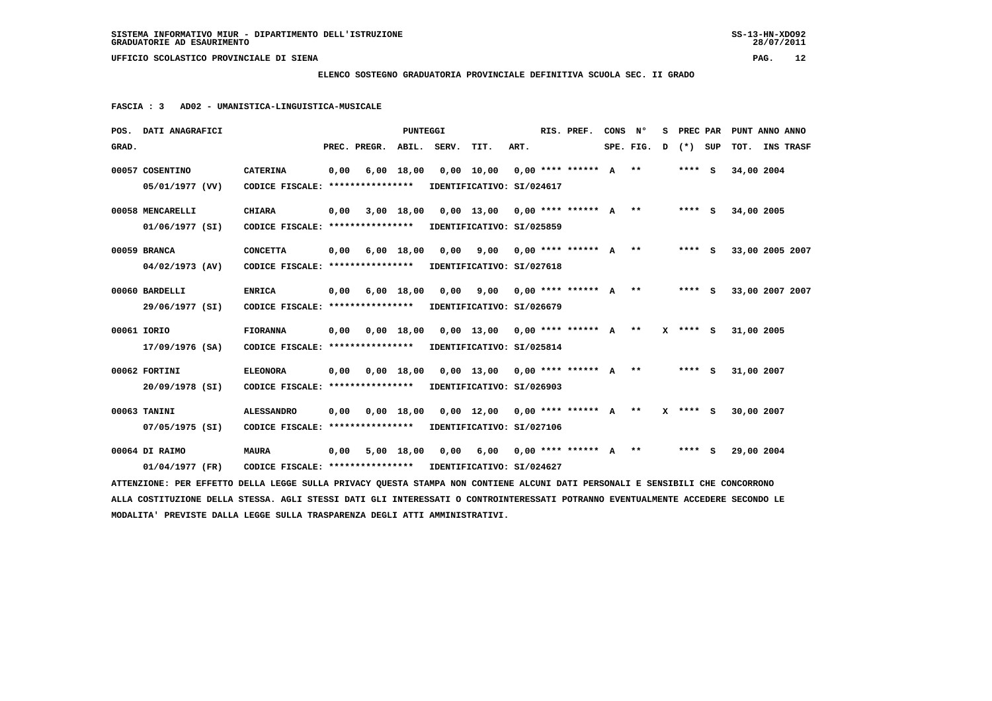**ELENCO SOSTEGNO GRADUATORIA PROVINCIALE DEFINITIVA SCUOLA SEC. II GRADO**

 **FASCIA : 3 AD02 - UMANISTICA-LINGUISTICA-MUSICALE**

|       | POS. DATI ANAGRAFICI                                                                                                            |                                                            |      |                              | PUNTEGGI   |             |                                                                  |      | RIS. PREF. | CONS N <sup>o</sup> |             | s. | PREC PAR |            | PUNT ANNO ANNO  |
|-------|---------------------------------------------------------------------------------------------------------------------------------|------------------------------------------------------------|------|------------------------------|------------|-------------|------------------------------------------------------------------|------|------------|---------------------|-------------|----|----------|------------|-----------------|
| GRAD. |                                                                                                                                 |                                                            |      | PREC. PREGR.                 |            | ABIL. SERV. | TIT.                                                             | ART. |            |                     | SPE. FIG. D |    | (*) SUP  | тот.       | INS TRASF       |
|       | 00057 COSENTINO                                                                                                                 | <b>CATERINA</b>                                            | 0,00 |                              | 6,00 18,00 |             | $0,00$ 10,00 0,00 **** ****** A **                               |      |            |                     |             |    | **** S   | 34,00 2004 |                 |
|       | 05/01/1977 (VV)                                                                                                                 | CODICE FISCALE: **************** IDENTIFICATIVO: SI/024617 |      |                              |            |             |                                                                  |      |            |                     |             |    |          |            |                 |
|       | 00058 MENCARELLI                                                                                                                | <b>CHIARA</b>                                              | 0,00 |                              |            |             | 3,00 18,00 0,00 13,00 0,00 **** ****** A **                      |      |            |                     |             |    | $***$ S  | 34,00 2005 |                 |
|       | 01/06/1977 (SI)                                                                                                                 | CODICE FISCALE: **************** IDENTIFICATIVO: SI/025859 |      |                              |            |             |                                                                  |      |            |                     |             |    |          |            |                 |
|       | 00059 BRANCA                                                                                                                    | <b>CONCETTA</b>                                            |      | $0,00$ $6,00$ $18,00$        |            | 0,00        | 9,00 0,00 **** ****** A **                                       |      |            |                     |             |    | **** S   |            | 33,00 2005 2007 |
|       | $04/02/1973$ (AV)                                                                                                               | CODICE FISCALE: **************** IDENTIFICATIVO: SI/027618 |      |                              |            |             |                                                                  |      |            |                     |             |    |          |            |                 |
|       | 00060 BARDELLI                                                                                                                  | <b>ENRICA</b>                                              |      | $0,00$ $6,00$ $18,00$ $0,00$ |            |             | 9,00 0,00 **** ****** A **                                       |      |            |                     |             |    | **** S   |            | 33,00 2007 2007 |
|       | 29/06/1977 (SI)                                                                                                                 | CODICE FISCALE: **************** IDENTIFICATIVO: SI/026679 |      |                              |            |             |                                                                  |      |            |                     |             |    |          |            |                 |
|       | 00061 IORIO                                                                                                                     | <b>FIORANNA</b>                                            |      |                              |            |             | $0,00$ $0,00$ $18,00$ $0,00$ $13,00$ $0,00$ $***$ $***$ $*$ $*$  |      |            |                     |             |    | X **** S | 31,00 2005 |                 |
|       | 17/09/1976 (SA)                                                                                                                 | CODICE FISCALE: **************** IDENTIFICATIVO: SI/025814 |      |                              |            |             |                                                                  |      |            |                     |             |    |          |            |                 |
|       | 00062 FORTINI                                                                                                                   | <b>ELEONORA</b>                                            | 0,00 |                              |            |             | 0,00 18,00 0,00 13,00 0,00 **** ****** A **                      |      |            |                     |             |    | **** S   | 31,00 2007 |                 |
|       | 20/09/1978 (SI)                                                                                                                 | CODICE FISCALE: **************** IDENTIFICATIVO: SI/026903 |      |                              |            |             |                                                                  |      |            |                     |             |    |          |            |                 |
|       | 00063 TANINI                                                                                                                    | <b>ALESSANDRO</b>                                          |      |                              |            |             | $0,00$ $0,00$ $18,00$ $0,00$ $12,00$ $0,00$ $***$ *** ***** A ** |      |            |                     |             |    | X **** S | 30,00 2007 |                 |
|       | 07/05/1975 (SI)                                                                                                                 | CODICE FISCALE: **************** IDENTIFICATIVO: SI/027106 |      |                              |            |             |                                                                  |      |            |                     |             |    |          |            |                 |
|       | 00064 DI RAIMO                                                                                                                  | <b>MAURA</b>                                               |      |                              |            |             | $0,00$ 5,00 18,00 0,00 6,00 0,00 **** ****** A **                |      |            |                     |             |    | **** S   | 29,00 2004 |                 |
|       | 01/04/1977 (FR)                                                                                                                 | CODICE FISCALE: **************** IDENTIFICATIVO: SI/024627 |      |                              |            |             |                                                                  |      |            |                     |             |    |          |            |                 |
|       | ATTENZIONE: PER EFFETTO DELLA LEGGE SULLA PRIVACY QUESTA STAMPA NON CONTIENE ALCUNI DATI PERSONALI E SENSIBILI CHE CONCORRONO   |                                                            |      |                              |            |             |                                                                  |      |            |                     |             |    |          |            |                 |
|       | ALLA COSTITUZIONE DELLA STESSA. AGLI STESSI DATI GLI INTERESSATI O CONTROINTERESSATI POTRANNO EVENTUALMENTE ACCEDERE SECONDO LE |                                                            |      |                              |            |             |                                                                  |      |            |                     |             |    |          |            |                 |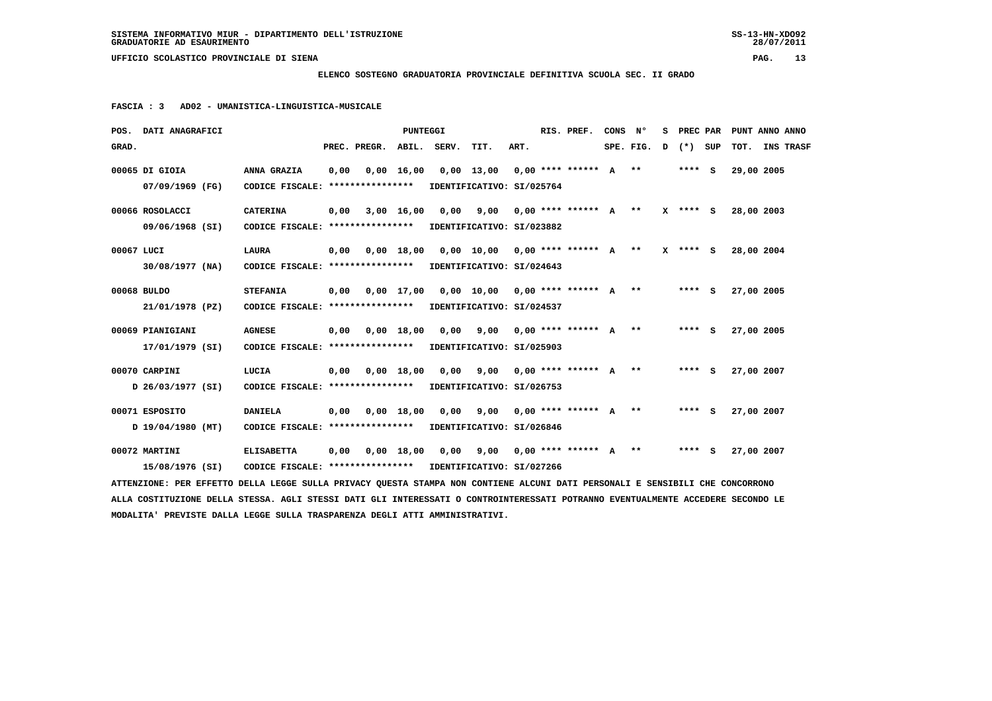**ELENCO SOSTEGNO GRADUATORIA PROVINCIALE DEFINITIVA SCUOLA SEC. II GRADO**

 **FASCIA : 3 AD02 - UMANISTICA-LINGUISTICA-MUSICALE**

|                  | POS. DATI ANAGRAFICI |                                                                                                                                 |      |                          | <b>PUNTEGGI</b>    |                                               |                                    |      | RIS. PREF.                 | CONS | N°        | s | PREC PAR   | PUNT ANNO ANNO |                  |
|------------------|----------------------|---------------------------------------------------------------------------------------------------------------------------------|------|--------------------------|--------------------|-----------------------------------------------|------------------------------------|------|----------------------------|------|-----------|---|------------|----------------|------------------|
| GRAD.            |                      |                                                                                                                                 |      | PREC. PREGR. ABIL. SERV. |                    |                                               | TIT.                               | ART. |                            |      | SPE. FIG. | D | (*) SUP    | тот.           | <b>INS TRASF</b> |
| 00065 DI GIOIA   |                      | ANNA GRAZIA                                                                                                                     | 0,00 |                          | $0,00 \quad 16,00$ |                                               | $0,00$ 13,00 0,00 **** ****** A ** |      |                            |      |           |   | $***$ S    | 29,00 2005     |                  |
|                  | 07/09/1969 (FG)      | CODICE FISCALE: ****************                                                                                                |      |                          |                    |                                               | IDENTIFICATIVO: SI/025764          |      |                            |      |           |   |            |                |                  |
| 00066 ROSOLACCI  |                      | <b>CATERINA</b>                                                                                                                 | 0,00 |                          | 3,00 16,00         |                                               | $0,00$ 9,00 0,00 **** ****** A **  |      |                            |      |           |   | X **** S   | 28,00 2003     |                  |
|                  | 09/06/1968 (SI)      | CODICE FISCALE: ****************                                                                                                |      |                          |                    |                                               | IDENTIFICATIVO: SI/023882          |      |                            |      |           |   |            |                |                  |
| 00067 LUCI       |                      | LAURA                                                                                                                           | 0,00 |                          | $0,00$ 18,00       |                                               | 0,00 10,00 0,00 **** ****** A **   |      |                            |      |           |   | $X$ **** S | 28,00 2004     |                  |
|                  | $30/08/1977$ (NA)    | CODICE FISCALE: *****************                                                                                               |      |                          |                    |                                               | IDENTIFICATIVO: SI/024643          |      |                            |      |           |   |            |                |                  |
| 00068 BULDO      |                      | <b>STEFANIA</b>                                                                                                                 | 0,00 |                          |                    | $0,00$ 17,00 0,00 10,00 0,00 **** ****** A ** |                                    |      |                            |      |           |   | $***$ S    | 27,00 2005     |                  |
|                  | 21/01/1978 (PZ)      | CODICE FISCALE: *****************                                                                                               |      |                          |                    |                                               | IDENTIFICATIVO: SI/024537          |      |                            |      |           |   |            |                |                  |
| 00069 PIANIGIANI |                      | <b>AGNESE</b>                                                                                                                   | 0,00 |                          | $0,00$ 18,00       | 0,00                                          |                                    |      | 9,00 0,00 **** ****** A ** |      |           |   | $***$ S    | 27,00 2005     |                  |
|                  | 17/01/1979 (SI)      | CODICE FISCALE: *****************                                                                                               |      |                          |                    | IDENTIFICATIVO: SI/025903                     |                                    |      |                            |      |           |   |            |                |                  |
| 00070 CARPINI    |                      | LUCIA                                                                                                                           | 0,00 |                          | 0.00 18.00         | 0,00                                          | 9,00 0,00 **** ****** A **         |      |                            |      |           |   | $***$ S    | 27,00 2007     |                  |
|                  | D 26/03/1977 (SI)    | CODICE FISCALE: ****************                                                                                                |      |                          |                    |                                               | IDENTIFICATIVO: SI/026753          |      |                            |      |           |   |            |                |                  |
| 00071 ESPOSITO   |                      | <b>DANIELA</b>                                                                                                                  | 0,00 |                          | $0,00$ 18,00       |                                               | 0,00 9,00 0,00 **** ****** A **    |      |                            |      |           |   | $***$ S    | 27,00 2007     |                  |
|                  | D 19/04/1980 (MT)    | CODICE FISCALE: *****************                                                                                               |      |                          |                    |                                               | IDENTIFICATIVO: SI/026846          |      |                            |      |           |   |            |                |                  |
| 00072 MARTINI    |                      | <b>ELISABETTA</b>                                                                                                               | 0.00 |                          | 0.00 18.00         |                                               | 0,00 9,00 0,00 **** ****** A **    |      |                            |      |           |   | $***$ S    | 27,00 2007     |                  |
|                  | 15/08/1976 (SI)      | CODICE FISCALE: **************** IDENTIFICATIVO: SI/027266                                                                      |      |                          |                    |                                               |                                    |      |                            |      |           |   |            |                |                  |
|                  |                      | ATTENZIONE: PER EFFETTO DELLA LEGGE SULLA PRIVACY QUESTA STAMPA NON CONTIENE ALCUNI DATI PERSONALI E SENSIBILI CHE CONCORRONO   |      |                          |                    |                                               |                                    |      |                            |      |           |   |            |                |                  |
|                  |                      | ALLA COSTITUZIONE DELLA STESSA. AGLI STESSI DATI GLI INTERESSATI O CONTROINTERESSATI POTRANNO EVENTUALMENTE ACCEDERE SECONDO LE |      |                          |                    |                                               |                                    |      |                            |      |           |   |            |                |                  |
|                  |                      | MODALITA' PREVISTE DALLA LEGGE SULLA TRASPARENZA DEGLI ATTI AMMINISTRATIVI.                                                     |      |                          |                    |                                               |                                    |      |                            |      |           |   |            |                |                  |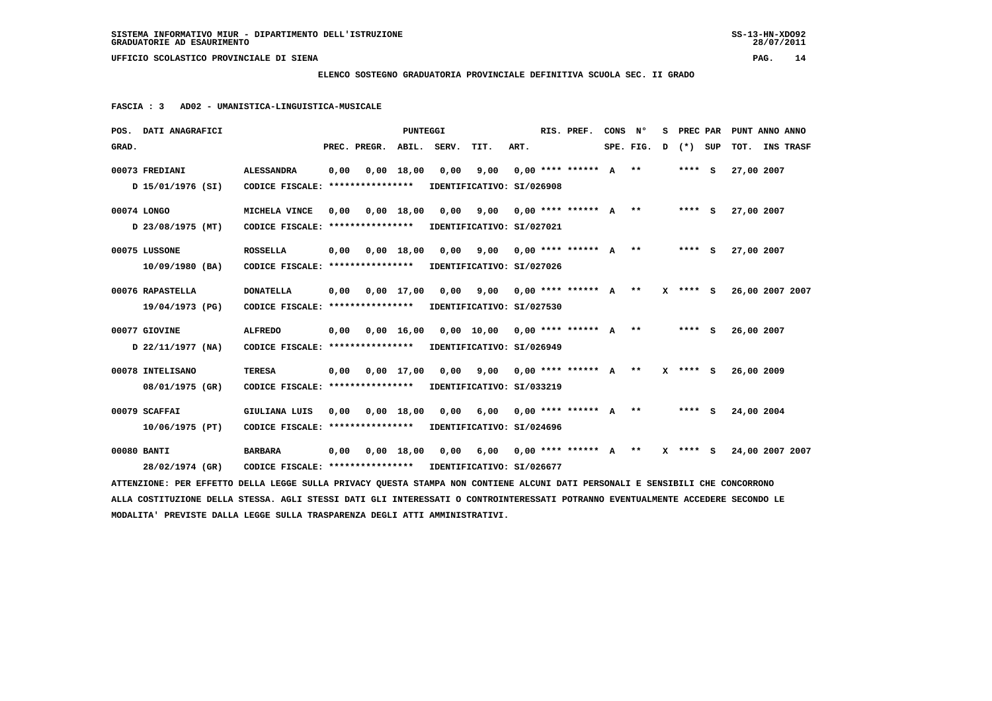**ELENCO SOSTEGNO GRADUATORIA PROVINCIALE DEFINITIVA SCUOLA SEC. II GRADO**

 **FASCIA : 3 AD02 - UMANISTICA-LINGUISTICA-MUSICALE**

|       | POS. DATI ANAGRAFICI                                                                                                            |                                                            |      |              | PUNTEGGI   |                                                                          |      |      | RIS. PREF.            | CONS N° |             | s |            | PREC PAR PUNT ANNO ANNO |           |
|-------|---------------------------------------------------------------------------------------------------------------------------------|------------------------------------------------------------|------|--------------|------------|--------------------------------------------------------------------------|------|------|-----------------------|---------|-------------|---|------------|-------------------------|-----------|
| GRAD. |                                                                                                                                 |                                                            |      | PREC. PREGR. | ABIL.      | SERV.                                                                    | TIT. | ART. |                       |         | SPE. FIG. D |   | (*) SUP    | тот.                    | INS TRASF |
|       | 00073 FREDIANI                                                                                                                  | <b>ALESSANDRA</b>                                          | 0,00 |              | 0,00 18,00 | 0,00                                                                     | 9,00 |      | $0.00**********$ A ** |         |             |   | **** S     | 27,00 2007              |           |
|       | D 15/01/1976 (SI)                                                                                                               | CODICE FISCALE: **************** IDENTIFICATIVO: SI/026908 |      |              |            |                                                                          |      |      |                       |         |             |   |            |                         |           |
|       | 00074 LONGO                                                                                                                     | MICHELA VINCE                                              | 0,00 |              |            | 0,00 18,00 0,00 9,00 0,00 **** ****** A **                               |      |      |                       |         |             |   | $***$ S    | 27,00 2007              |           |
|       | D 23/08/1975 (MT)                                                                                                               | CODICE FISCALE: **************** IDENTIFICATIVO: SI/027021 |      |              |            |                                                                          |      |      |                       |         |             |   |            |                         |           |
|       | 00075 LUSSONE                                                                                                                   | <b>ROSSELLA</b>                                            |      |              |            | $0,00$ $0,00$ $18,00$ $0,00$ $9,00$ $0,00$ $***$ $***$ $*$ $*$           |      |      |                       |         |             |   | $***$ S    | 27,00 2007              |           |
|       | 10/09/1980 (BA)                                                                                                                 | CODICE FISCALE: **************** IDENTIFICATIVO: SI/027026 |      |              |            |                                                                          |      |      |                       |         |             |   |            |                         |           |
|       | 00076 RAPASTELLA                                                                                                                | <b>DONATELLA</b>                                           |      |              |            | 0,00 0,00 17,00 0,00 9,00 0,00 **** ****** A **                          |      |      |                       |         |             |   | $X$ **** S | 26,00 2007 2007         |           |
|       | 19/04/1973 (PG)                                                                                                                 | CODICE FISCALE: **************** IDENTIFICATIVO: SI/027530 |      |              |            |                                                                          |      |      |                       |         |             |   |            |                         |           |
|       | 00077 GIOVINE                                                                                                                   | <b>ALFREDO</b>                                             | 0,00 |              |            | 0,00 16,00 0,00 10,00 0,00 **** ****** A **                              |      |      |                       |         |             |   | **** S     | 26,00 2007              |           |
|       | D 22/11/1977 (NA)                                                                                                               | CODICE FISCALE: **************** IDENTIFICATIVO: SI/026949 |      |              |            |                                                                          |      |      |                       |         |             |   |            |                         |           |
|       | 00078 INTELISANO                                                                                                                | <b>TERESA</b>                                              |      |              |            | $0,00$ $0,00$ $17,00$ $0,00$ $9,00$ $0,00$ $***$ $***$ $*$ $*$           |      |      |                       |         |             |   | X **** S   | 26,00 2009              |           |
|       | 08/01/1975 (GR)                                                                                                                 | CODICE FISCALE: *****************                          |      |              |            | IDENTIFICATIVO: SI/033219                                                |      |      |                       |         |             |   |            |                         |           |
|       | 00079 SCAFFAI                                                                                                                   | GIULIANA LUIS                                              |      |              |            | 0,00 0,00 18,00 0,00 6,00 0,00 **** ****** A **                          |      |      |                       |         |             |   | **** S     | 24,00 2004              |           |
|       | 10/06/1975 (PT)                                                                                                                 | CODICE FISCALE: *****************                          |      |              |            | IDENTIFICATIVO: SI/024696                                                |      |      |                       |         |             |   |            |                         |           |
|       | 00080 BANTI                                                                                                                     | <b>BARBARA</b>                                             |      |              |            | 0,00 0,00 18,00 0,00 6,00 0,00 **** ****** A ** X **** S 24,00 2007 2007 |      |      |                       |         |             |   |            |                         |           |
|       | 28/02/1974 (GR)                                                                                                                 | CODICE FISCALE: **************** IDENTIFICATIVO: SI/026677 |      |              |            |                                                                          |      |      |                       |         |             |   |            |                         |           |
|       | ATTENZIONE: PER EFFETTO DELLA LEGGE SULLA PRIVACY QUESTA STAMPA NON CONTIENE ALCUNI DATI PERSONALI E SENSIBILI CHE CONCORRONO   |                                                            |      |              |            |                                                                          |      |      |                       |         |             |   |            |                         |           |
|       | ALLA COSTITUZIONE DELLA STESSA. AGLI STESSI DATI GLI INTERESSATI O CONTROINTERESSATI POTRANNO EVENTUALMENTE ACCEDERE SECONDO LE |                                                            |      |              |            |                                                                          |      |      |                       |         |             |   |            |                         |           |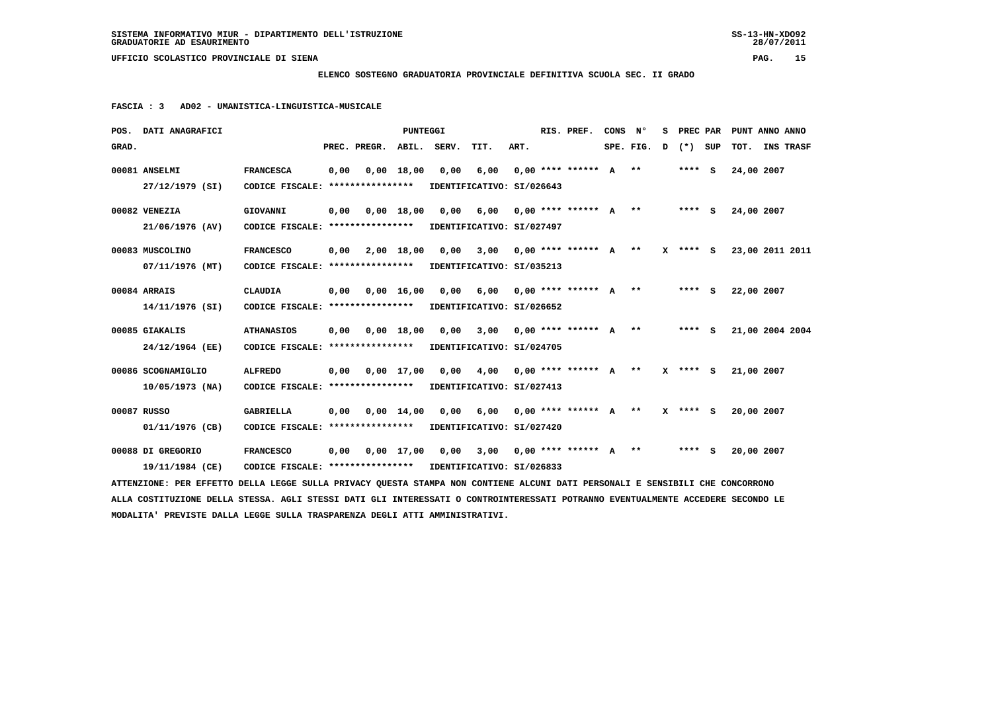**ELENCO SOSTEGNO GRADUATORIA PROVINCIALE DEFINITIVA SCUOLA SEC. II GRADO**

 **FASCIA : 3 AD02 - UMANISTICA-LINGUISTICA-MUSICALE**

|       | POS. DATI ANAGRAFICI                                                                                                            |                                                            |      |                              | <b>PUNTEGGI</b> |                                                                     |                            |      | RIS. PREF.                   | CONS N° |             | s | PREC PAR   |     | PUNT ANNO ANNO           |                  |  |
|-------|---------------------------------------------------------------------------------------------------------------------------------|------------------------------------------------------------|------|------------------------------|-----------------|---------------------------------------------------------------------|----------------------------|------|------------------------------|---------|-------------|---|------------|-----|--------------------------|------------------|--|
| GRAD. |                                                                                                                                 |                                                            |      | PREC. PREGR. ABIL.           |                 | SERV.                                                               | TIT.                       | ART. |                              |         | SPE. FIG. D |   | $(*)$      | SUP | тот.                     | <b>INS TRASF</b> |  |
|       | 00081 ANSELMI                                                                                                                   | <b>FRANCESCA</b>                                           | 0,00 | 0,00 18,00                   |                 | 0,00                                                                | 6,00                       |      | $0.00$ **** ****** A **      |         |             |   | $***$ S    |     | 24,00 2007               |                  |  |
|       | 27/12/1979 (SI)                                                                                                                 | CODICE FISCALE: **************** IDENTIFICATIVO: SI/026643 |      |                              |                 |                                                                     |                            |      |                              |         |             |   |            |     |                          |                  |  |
|       | 00082 VENEZIA                                                                                                                   | GIOVANNI                                                   |      | $0,00$ $0,00$ $18,00$ $0,00$ |                 |                                                                     | 6,00 0,00 **** ****** A ** |      |                              |         |             |   | **** S     |     | 24,00 2007               |                  |  |
|       | 21/06/1976 (AV)                                                                                                                 | CODICE FISCALE: **************** IDENTIFICATIVO: SI/027497 |      |                              |                 |                                                                     |                            |      |                              |         |             |   |            |     |                          |                  |  |
|       | 00083 MUSCOLINO                                                                                                                 | <b>FRANCESCO</b>                                           |      | $0,00$ $2,00$ $18,00$ $0,00$ |                 |                                                                     |                            |      | $3,00$ 0,00 **** ****** A ** |         |             |   |            |     | X **** S 23,00 2011 2011 |                  |  |
|       | 07/11/1976 (MT)                                                                                                                 | CODICE FISCALE: **************** IDENTIFICATIVO: SI/035213 |      |                              |                 |                                                                     |                            |      |                              |         |             |   |            |     |                          |                  |  |
|       | 00084 ARRAIS                                                                                                                    | CLAUDIA                                                    |      | 0,00 0,00 16,00              |                 | 0,00                                                                | 6,00 0,00 **** ****** A ** |      |                              |         |             |   | **** S     |     | 22,00 2007               |                  |  |
|       | 14/11/1976 (SI)                                                                                                                 | CODICE FISCALE: **************** IDENTIFICATIVO: SI/026652 |      |                              |                 |                                                                     |                            |      |                              |         |             |   |            |     |                          |                  |  |
|       | 00085 GIAKALIS                                                                                                                  | <b>ATHANASIOS</b>                                          |      |                              |                 | 0,00 0,00 18,00 0,00 3,00 0,00 **** ****** A **                     |                            |      |                              |         |             |   | **** S     |     | 21,00 2004 2004          |                  |  |
|       | 24/12/1964 (EE)                                                                                                                 | CODICE FISCALE: ****************                           |      |                              |                 | IDENTIFICATIVO: SI/024705                                           |                            |      |                              |         |             |   |            |     |                          |                  |  |
|       | 00086 SCOGNAMIGLIO                                                                                                              | <b>ALFREDO</b>                                             |      |                              |                 | $0,00$ $0,00$ $17,00$ $0,00$ $4,00$ $0,00$ $***$ *** ***** A **     |                            |      |                              |         |             |   | X **** S   |     | 21,00 2007               |                  |  |
|       | 10/05/1973 (NA)                                                                                                                 | CODICE FISCALE: ****************                           |      |                              |                 | IDENTIFICATIVO: SI/027413                                           |                            |      |                              |         |             |   |            |     |                          |                  |  |
|       | 00087 RUSSO                                                                                                                     | <b>GABRIELLA</b>                                           |      |                              |                 | $0,00$ $0,00$ $14,00$ $0,00$ $6,00$ $0,00$ $***$ *** ****** A **    |                            |      |                              |         |             |   | $X$ **** S |     | 20,00 2007               |                  |  |
|       | 01/11/1976 (CB)                                                                                                                 | CODICE FISCALE: ****************                           |      |                              |                 | IDENTIFICATIVO: SI/027420                                           |                            |      |                              |         |             |   |            |     |                          |                  |  |
|       | 00088 DI GREGORIO                                                                                                               | <b>FRANCESCO</b>                                           |      |                              |                 | $0,00$ $0,00$ $17,00$ $0,00$ $3,00$ $0,00$ **** ****** A ** ***** S |                            |      |                              |         |             |   |            |     | 20,00 2007               |                  |  |
|       | 19/11/1984 (CE)                                                                                                                 | CODICE FISCALE: **************** IDENTIFICATIVO: SI/026833 |      |                              |                 |                                                                     |                            |      |                              |         |             |   |            |     |                          |                  |  |
|       | ATTENZIONE: PER EFFETTO DELLA LEGGE SULLA PRIVACY QUESTA STAMPA NON CONTIENE ALCUNI DATI PERSONALI E SENSIBILI CHE CONCORRONO   |                                                            |      |                              |                 |                                                                     |                            |      |                              |         |             |   |            |     |                          |                  |  |
|       | ALLA COSTITUZIONE DELLA STESSA. AGLI STESSI DATI GLI INTERESSATI O CONTROINTERESSATI POTRANNO EVENTUALMENTE ACCEDERE SECONDO LE |                                                            |      |                              |                 |                                                                     |                            |      |                              |         |             |   |            |     |                          |                  |  |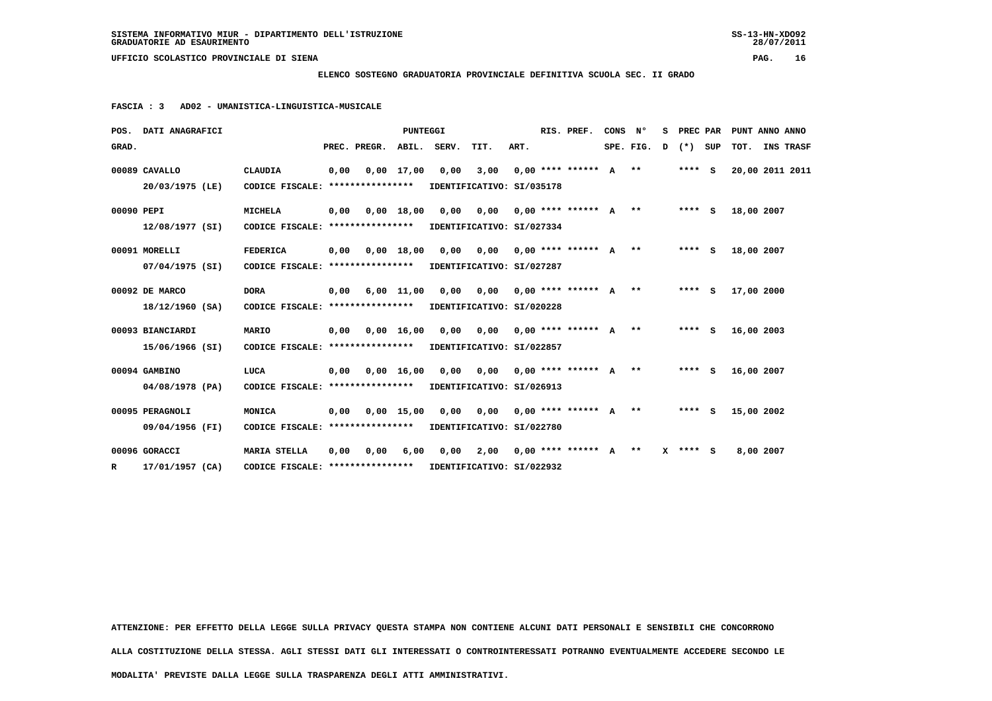**ELENCO SOSTEGNO GRADUATORIA PROVINCIALE DEFINITIVA SCUOLA SEC. II GRADO**

 **FASCIA : 3 AD02 - UMANISTICA-LINGUISTICA-MUSICALE**

|              | POS. DATI ANAGRAFICI             |                                                            |      |                                   | PUNTEGGI     |             |                                                                |      | RIS. PREF.                     | CONS Nº   | s | PREC PAR |     | PUNT ANNO ANNO    |                  |
|--------------|----------------------------------|------------------------------------------------------------|------|-----------------------------------|--------------|-------------|----------------------------------------------------------------|------|--------------------------------|-----------|---|----------|-----|-------------------|------------------|
| GRAD.        |                                  |                                                            |      | PREC. PREGR.                      |              | ABIL. SERV. | TIT.                                                           | ART. |                                | SPE. FIG. | D | $(*)$    | SUP | тот.              | <b>INS TRASF</b> |
|              | 00089 CAVALLO<br>20/03/1975 (LE) | <b>CLAUDIA</b><br>CODICE FISCALE: *****************        | 0,00 |                                   | $0.00$ 17.00 |             | $0,00$ 3,00 0,00 **** ****** A **<br>IDENTIFICATIVO: SI/035178 |      |                                |           |   | $***$ S  |     | 20,00 2011 2011   |                  |
|              |                                  |                                                            |      |                                   |              |             |                                                                |      |                                |           |   |          |     |                   |                  |
| 00090 PEPI   |                                  | <b>MICHELA</b>                                             | 0,00 |                                   | $0.00$ 18,00 |             | 0,00 0,00 0,00 **** ****** A **                                |      |                                |           |   |          |     | **** S 18,00 2007 |                  |
|              | 12/08/1977 (SI)                  | CODICE FISCALE: **************** IDENTIFICATIVO: SI/027334 |      |                                   |              |             |                                                                |      |                                |           |   |          |     |                   |                  |
|              | 00091 MORELLI                    | <b>FEDERICA</b>                                            | 0,00 |                                   | $0.00$ 18.00 | 0,00        |                                                                |      | $0,00$ 0,00 **** ****** A **   |           |   | $***$ S  |     | 18,00 2007        |                  |
|              | 07/04/1975 (SI)                  | CODICE FISCALE: **************** IDENTIFICATIVO: SI/027287 |      |                                   |              |             |                                                                |      |                                |           |   |          |     |                   |                  |
|              | 00092 DE MARCO                   | <b>DORA</b>                                                | 0,00 |                                   | $6,00$ 11,00 |             | $0,00$ $0,00$ $0,00$ **** ****** A **                          |      |                                |           |   | $***$ S  |     | 17,00 2000        |                  |
|              | 18/12/1960 (SA)                  | CODICE FISCALE: ****************                           |      |                                   |              |             | IDENTIFICATIVO: SI/020228                                      |      |                                |           |   |          |     |                   |                  |
|              | 00093 BIANCIARDI                 | MARIO                                                      |      | $0,00$ $0,00$ $16,00$             |              |             | 0,00 0,00 0,00 **** ****** A **                                |      |                                |           |   | **** S   |     | 16,00 2003        |                  |
|              | 15/06/1966 (SI)                  | CODICE FISCALE: **************** IDENTIFICATIVO: SI/022857 |      |                                   |              |             |                                                                |      |                                |           |   |          |     |                   |                  |
|              | 00094 GAMBINO                    | LUCA                                                       | 0,00 |                                   | 0.00 16.00   | 0,00        | $0,00$ $0,00$ **** ****** A **                                 |      |                                |           |   | **** S   |     | 16,00 2007        |                  |
|              | 04/08/1978 (PA)                  | CODICE FISCALE: **************** IDENTIFICATIVO: SI/026913 |      |                                   |              |             |                                                                |      |                                |           |   |          |     |                   |                  |
|              | 00095 PERAGNOLI                  | MONICA                                                     | 0,00 |                                   | $0,00$ 15,00 | 0,00        |                                                                |      | $0,00$ $0,00$ **** ****** A ** |           |   | $***$ S  |     | 15,00 2002        |                  |
|              | 09/04/1956 (FI)                  | CODICE FISCALE: *****************                          |      |                                   |              |             | IDENTIFICATIVO: SI/022780                                      |      |                                |           |   |          |     |                   |                  |
|              | 00096 GORACCI                    | <b>MARIA STELLA</b>                                        | 0.00 | 0.00                              | 6,00         |             | $0.00$ 2,00 0,00 **** ****** A **                              |      |                                |           |   | X **** S |     | 8,00 2007         |                  |
| $\mathbf{R}$ | 17/01/1957 (CA)                  |                                                            |      | CODICE FISCALE: ***************** |              |             | IDENTIFICATIVO: SI/022932                                      |      |                                |           |   |          |     |                   |                  |

 **ATTENZIONE: PER EFFETTO DELLA LEGGE SULLA PRIVACY QUESTA STAMPA NON CONTIENE ALCUNI DATI PERSONALI E SENSIBILI CHE CONCORRONO**

 **ALLA COSTITUZIONE DELLA STESSA. AGLI STESSI DATI GLI INTERESSATI O CONTROINTERESSATI POTRANNO EVENTUALMENTE ACCEDERE SECONDO LE**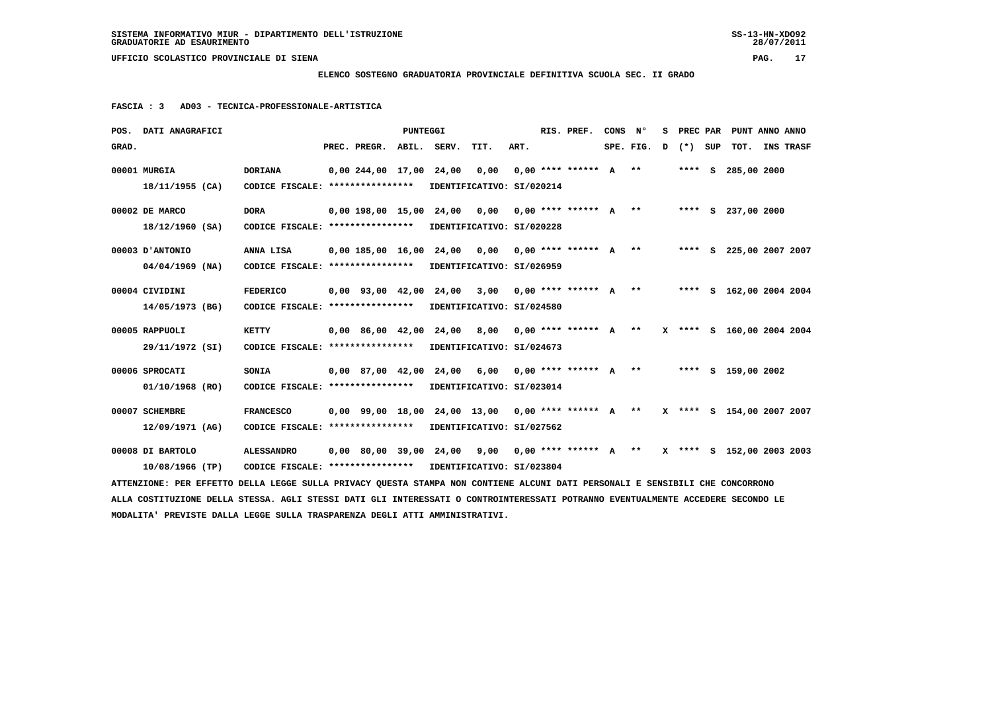**ELENCO SOSTEGNO GRADUATORIA PROVINCIALE DEFINITIVA SCUOLA SEC. II GRADO**

|       | POS. DATI ANAGRAFICI                                                                                                            |                                                            |                                | PUNTEGGI |                                                      |                            |      | RIS. PREF.                                 | CONS | $\mathbf{N}^{\mathsf{o}}$ | s | PREC PAR | PUNT ANNO ANNO            |  |
|-------|---------------------------------------------------------------------------------------------------------------------------------|------------------------------------------------------------|--------------------------------|----------|------------------------------------------------------|----------------------------|------|--------------------------------------------|------|---------------------------|---|----------|---------------------------|--|
| GRAD. |                                                                                                                                 |                                                            | PREC. PREGR. ABIL. SERV.       |          |                                                      | TIT.                       | ART. |                                            |      | SPE. FIG. D               |   | (*) SUP  | TOT. INS TRASF            |  |
|       | 00001 MURGIA                                                                                                                    | <b>DORIANA</b>                                             | 0,00 244,00 17,00 24,00        |          |                                                      | 0,00                       |      | $0.00********** A***$                      |      |                           |   |          | **** S 285,00 2000        |  |
|       | 18/11/1955 (CA)                                                                                                                 | CODICE FISCALE: ****************                           |                                |          | IDENTIFICATIVO: SI/020214                            |                            |      |                                            |      |                           |   |          |                           |  |
|       | 00002 DE MARCO                                                                                                                  | <b>DORA</b>                                                |                                |          | 0,00 198,00 15,00 24,00 0,00                         |                            |      | $0.00$ **** ****** A ** **** S 237.00 2000 |      |                           |   |          |                           |  |
|       | $18/12/1960$ (SA)                                                                                                               | CODICE FISCALE: ****************                           |                                |          | IDENTIFICATIVO: SI/020228                            |                            |      |                                            |      |                           |   |          |                           |  |
|       | 00003 D'ANTONIO                                                                                                                 | ANNA LISA                                                  |                                |          | $0,00$ 185,00 16,00 24,00 0,00                       |                            |      | $0.00$ **** ****** $A$ **                  |      |                           |   |          | **** S 225,00 2007 2007   |  |
|       | $04/04/1969$ (NA)                                                                                                               | CODICE FISCALE: *****************                          |                                |          | IDENTIFICATIVO: SI/026959                            |                            |      |                                            |      |                           |   |          |                           |  |
|       | 00004 CIVIDINI                                                                                                                  | <b>FEDERICO</b>                                            | $0,00$ $93,00$ $42,00$ $24,00$ |          |                                                      | 3,00                       |      | $0.00$ **** ****** $A$ **                  |      |                           |   |          | **** S 162,00 2004 2004   |  |
|       | 14/05/1973 (BG)                                                                                                                 | CODICE FISCALE: ****************                           |                                |          | IDENTIFICATIVO: SI/024580                            |                            |      |                                            |      |                           |   |          |                           |  |
|       | 00005 RAPPUOLI                                                                                                                  | <b>KETTY</b>                                               | $0,00$ 86,00 42,00 24,00       |          |                                                      | 8,00                       |      | $0.00*********~~A***$                      |      |                           |   |          | X **** S 160,00 2004 2004 |  |
|       | 29/11/1972 (SI)                                                                                                                 | CODICE FISCALE: ****************                           |                                |          | IDENTIFICATIVO: SI/024673                            |                            |      |                                            |      |                           |   |          |                           |  |
|       | 00006 SPROCATI                                                                                                                  | <b>SONIA</b>                                               | $0.00$ 87.00 42.00 24.00       |          |                                                      | 6,00 0,00 **** ****** A ** |      |                                            |      |                           |   |          | **** S 159,00 2002        |  |
|       | 01/10/1968 (RO)                                                                                                                 | CODICE FISCALE: *****************                          |                                |          | IDENTIFICATIVO: SI/023014                            |                            |      |                                            |      |                           |   |          |                           |  |
|       | 00007 SCHEMBRE                                                                                                                  | <b>FRANCESCO</b>                                           |                                |          | $0,00$ 99,00 18,00 24,00 13,00 0,00 **** ****** A ** |                            |      |                                            |      |                           |   |          | X **** S 154,00 2007 2007 |  |
|       | 12/09/1971 (AG)                                                                                                                 | CODICE FISCALE: ****************                           |                                |          | IDENTIFICATIVO: SI/027562                            |                            |      |                                            |      |                           |   |          |                           |  |
|       | 00008 DI BARTOLO                                                                                                                | <b>ALESSANDRO</b>                                          |                                |          | $0.00$ 80.00 39.00 24.00 9.00 0.00 **** ****** A **  |                            |      |                                            |      |                           |   |          | X **** S 152,00 2003 2003 |  |
|       | 10/08/1966 (TP)                                                                                                                 | CODICE FISCALE: **************** IDENTIFICATIVO: SI/023804 |                                |          |                                                      |                            |      |                                            |      |                           |   |          |                           |  |
|       | ATTENZIONE: PER EFFETTO DELLA LEGGE SULLA PRIVACY QUESTA STAMPA NON CONTIENE ALCUNI DATI PERSONALI E SENSIBILI CHE CONCORRONO   |                                                            |                                |          |                                                      |                            |      |                                            |      |                           |   |          |                           |  |
|       | ALLA COSTITUZIONE DELLA STESSA. AGLI STESSI DATI GLI INTERESSATI O CONTROINTERESSATI POTRANNO EVENTUALMENTE ACCEDERE SECONDO LE |                                                            |                                |          |                                                      |                            |      |                                            |      |                           |   |          |                           |  |
|       | MODALITA' PREVISTE DALLA LEGGE SULLA TRASPARENZA DEGLI ATTI AMMINISTRATIVI.                                                     |                                                            |                                |          |                                                      |                            |      |                                            |      |                           |   |          |                           |  |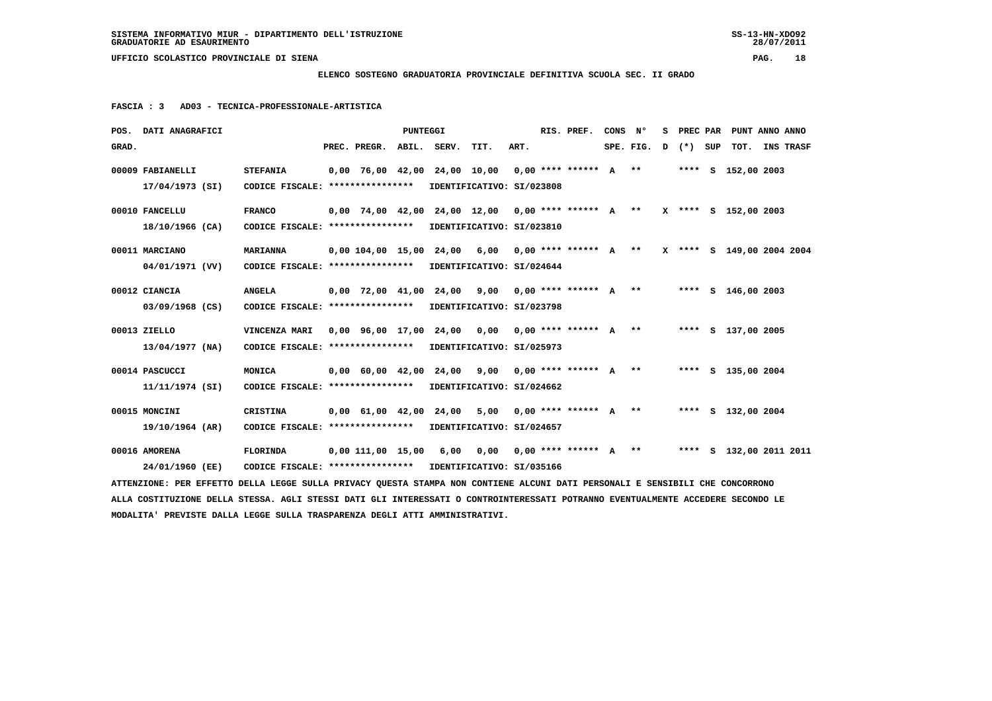**ELENCO SOSTEGNO GRADUATORIA PROVINCIALE DEFINITIVA SCUOLA SEC. II GRADO**

|       | POS. DATI ANAGRAFICI                                                                                                            |                                                            |                                            | PUNTEGGI |                                                                               |                            |      | RIS. PREF.                              | CONS | $\mathbf{N}^{\mathsf{o}}$ | S PREC PAR | PUNT ANNO ANNO            |  |
|-------|---------------------------------------------------------------------------------------------------------------------------------|------------------------------------------------------------|--------------------------------------------|----------|-------------------------------------------------------------------------------|----------------------------|------|-----------------------------------------|------|---------------------------|------------|---------------------------|--|
| GRAD. |                                                                                                                                 |                                                            | PREC. PREGR.                               |          | ABIL. SERV.                                                                   | TIT.                       | ART. |                                         |      | $SPE.FIG. D (*) SUP$      |            | TOT. INS TRASF            |  |
|       | 00009 FABIANELLI                                                                                                                | <b>STEFANIA</b>                                            |                                            |          | $0,00$ 76,00 42,00 24,00 10,00 0,00 **** ****** A **                          |                            |      |                                         |      |                           |            | **** S 152,00 2003        |  |
|       | 17/04/1973 (SI)                                                                                                                 | CODICE FISCALE: *****************                          |                                            |          | IDENTIFICATIVO: SI/023808                                                     |                            |      |                                         |      |                           |            |                           |  |
|       | 00010 FANCELLU                                                                                                                  | <b>FRANCO</b>                                              |                                            |          | 0,00 74,00 42,00 24,00 12,00 0,00 **** ****** A ** X **** S 152,00 2003       |                            |      |                                         |      |                           |            |                           |  |
|       | 18/10/1966 (CA)                                                                                                                 | CODICE FISCALE: *****************                          |                                            |          | IDENTIFICATIVO: SI/023810                                                     |                            |      |                                         |      |                           |            |                           |  |
|       | 00011 MARCIANO                                                                                                                  | <b>MARIANNA</b>                                            |                                            |          | $0,00$ 104,00 15,00 24,00 6,00                                                |                            |      | $0,00$ **** ****** A **                 |      |                           |            | X **** S 149,00 2004 2004 |  |
|       | 04/01/1971 (VV)                                                                                                                 | CODICE FISCALE: ****************                           |                                            |          | IDENTIFICATIVO: SI/024644                                                     |                            |      |                                         |      |                           |            |                           |  |
|       | 00012 CIANCIA                                                                                                                   | <b>ANGELA</b>                                              | $0,00$ 72,00 41,00 24,00                   |          |                                                                               | 9,00                       |      | $0,00$ **** ****** $A$ **               |      |                           |            | **** $S$ 146,00 2003      |  |
|       | 03/09/1968 (CS)                                                                                                                 | CODICE FISCALE: *****************                          |                                            |          | IDENTIFICATIVO: SI/023798                                                     |                            |      |                                         |      |                           |            |                           |  |
|       | 00013 ZIELLO                                                                                                                    | VINCENZA MARI                                              |                                            |          | $0,00$ 96,00 17,00 24,00 0,00 0,00 **** ****** A **                           |                            |      |                                         |      |                           |            | **** S 137,00 2005        |  |
|       | 13/04/1977 (NA)                                                                                                                 | CODICE FISCALE: **************** IDENTIFICATIVO: SI/025973 |                                            |          |                                                                               |                            |      |                                         |      |                           |            |                           |  |
|       | 00014 PASCUCCI                                                                                                                  | MONICA                                                     | $0.00 \quad 60.00 \quad 42.00 \quad 24.00$ |          |                                                                               | 9,00 0,00 **** ****** A ** |      |                                         |      |                           |            | **** S 135,00 2004        |  |
|       | 11/11/1974 (SI)                                                                                                                 | CODICE FISCALE: ****************                           |                                            |          | IDENTIFICATIVO: SI/024662                                                     |                            |      |                                         |      |                           |            |                           |  |
|       | 00015 MONCINI                                                                                                                   | <b>CRISTINA</b>                                            |                                            |          | 0,00 61,00 42,00 24,00 5,00                                                   |                            |      | $0.00*********$ A ** **** S 132.00 2004 |      |                           |            |                           |  |
|       | 19/10/1964 (AR)                                                                                                                 | CODICE FISCALE: ****************                           |                                            |          | IDENTIFICATIVO: SI/024657                                                     |                            |      |                                         |      |                           |            |                           |  |
|       | 00016 AMORENA                                                                                                                   | FLORINDA                                                   |                                            |          | $0.00$ 111.00 15.00 6.00 0.00 0.00 **** ****** A ** ***** \$ 132.00 2011 2011 |                            |      |                                         |      |                           |            |                           |  |
|       | 24/01/1960 (EE)                                                                                                                 | CODICE FISCALE: **************** IDENTIFICATIVO: SI/035166 |                                            |          |                                                                               |                            |      |                                         |      |                           |            |                           |  |
|       | ATTENZIONE: PER EFFETTO DELLA LEGGE SULLA PRIVACY QUESTA STAMPA NON CONTIENE ALCUNI DATI PERSONALI E SENSIBILI CHE CONCORRONO   |                                                            |                                            |          |                                                                               |                            |      |                                         |      |                           |            |                           |  |
|       | ALLA COSTITUZIONE DELLA STESSA. AGLI STESSI DATI GLI INTERESSATI O CONTROINTERESSATI POTRANNO EVENTUALMENTE ACCEDERE SECONDO LE |                                                            |                                            |          |                                                                               |                            |      |                                         |      |                           |            |                           |  |
|       | MODALITA' PREVISTE DALLA LEGGE SULLA TRASPARENZA DEGLI ATTI AMMINISTRATIVI.                                                     |                                                            |                                            |          |                                                                               |                            |      |                                         |      |                           |            |                           |  |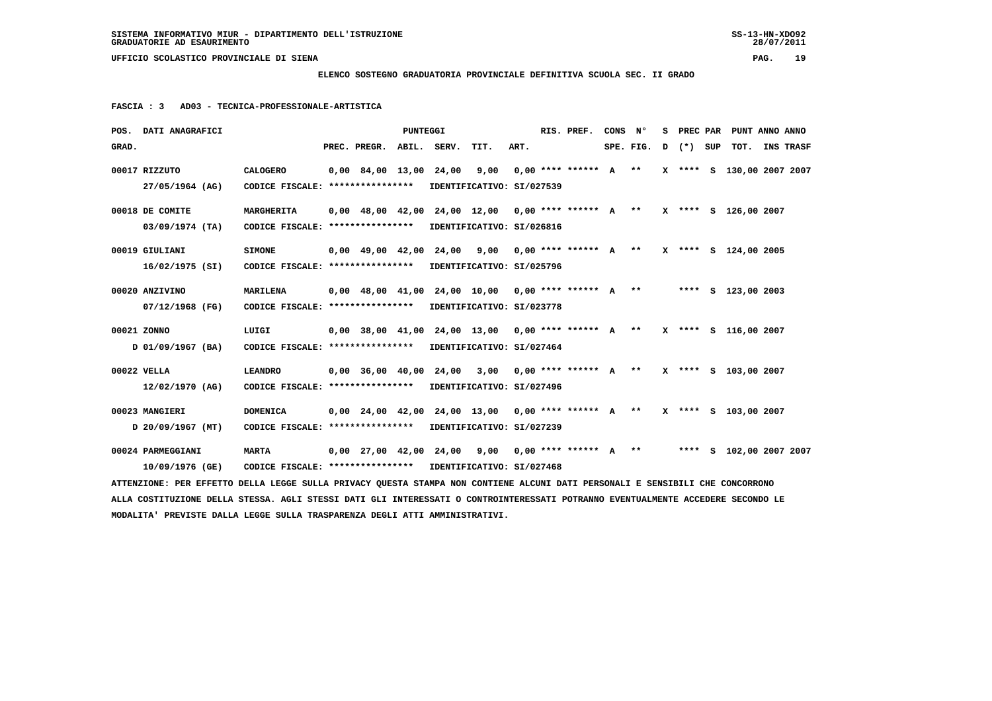**ELENCO SOSTEGNO GRADUATORIA PROVINCIALE DEFINITIVA SCUOLA SEC. II GRADO**

|                                                                                                                                 | POS. DATI ANAGRAFICI                                                                                                          |                                                            |  |                                            | PUNTEGGI |  |                                                                         |      |  | RIS. PREF. | CONS N° |           |           | S PREC PAR PUNT ANNO ANNO |  |                  |
|---------------------------------------------------------------------------------------------------------------------------------|-------------------------------------------------------------------------------------------------------------------------------|------------------------------------------------------------|--|--------------------------------------------|----------|--|-------------------------------------------------------------------------|------|--|------------|---------|-----------|-----------|---------------------------|--|------------------|
| GRAD.                                                                                                                           |                                                                                                                               |                                                            |  | PREC. PREGR. ABIL. SERV.                   |          |  | TIT.                                                                    | ART. |  |            |         | SPE. FIG. | D (*) SUP | тот.                      |  | <b>INS TRASF</b> |
|                                                                                                                                 | 00017 RIZZUTO                                                                                                                 | <b>CALOGERO</b>                                            |  | $0.00 \quad 84.00 \quad 13.00 \quad 24.00$ |          |  | 9,00 0,00 **** ****** A **                                              |      |  |            |         |           |           | X **** S 130,00 2007 2007 |  |                  |
|                                                                                                                                 | 27/05/1964 (AG)                                                                                                               | CODICE FISCALE: ****************                           |  |                                            |          |  | IDENTIFICATIVO: SI/027539                                               |      |  |            |         |           |           |                           |  |                  |
|                                                                                                                                 | 00018 DE COMITE                                                                                                               | <b>MARGHERITA</b>                                          |  |                                            |          |  | $0,00$ 48,00 42,00 24,00 12,00 0,00 **** ****** A **                    |      |  |            |         |           |           | X **** S 126,00 2007      |  |                  |
|                                                                                                                                 | $03/09/1974$ (TA)                                                                                                             | CODICE FISCALE: ****************                           |  |                                            |          |  | IDENTIFICATIVO: SI/026816                                               |      |  |            |         |           |           |                           |  |                  |
|                                                                                                                                 | 00019 GIULIANI                                                                                                                | <b>SIMONE</b>                                              |  |                                            |          |  | 0,00 49,00 42,00 24,00 9,00 0,00 **** ****** A ** X **** S 124,00 2005  |      |  |            |         |           |           |                           |  |                  |
|                                                                                                                                 | 16/02/1975 (SI)                                                                                                               | CODICE FISCALE: **************** IDENTIFICATIVO: SI/025796 |  |                                            |          |  |                                                                         |      |  |            |         |           |           |                           |  |                  |
|                                                                                                                                 | 00020 ANZIVINO                                                                                                                | <b>MARILENA</b>                                            |  |                                            |          |  | $0.00$ 48.00 41.00 24.00 10.00 0.00 **** ****** A **                    |      |  |            |         |           |           | **** S 123,00 2003        |  |                  |
|                                                                                                                                 | 07/12/1968 (FG)                                                                                                               | CODICE FISCALE: **************** IDENTIFICATIVO: SI/023778 |  |                                            |          |  |                                                                         |      |  |            |         |           |           |                           |  |                  |
|                                                                                                                                 | 00021 ZONNO                                                                                                                   | LUIGI                                                      |  |                                            |          |  | 0,00 38,00 41,00 24,00 13,00 0,00 **** ****** A ** X **** S 116,00 2007 |      |  |            |         |           |           |                           |  |                  |
|                                                                                                                                 | D 01/09/1967 (BA)                                                                                                             | CODICE FISCALE: **************** IDENTIFICATIVO: SI/027464 |  |                                            |          |  |                                                                         |      |  |            |         |           |           |                           |  |                  |
|                                                                                                                                 | 00022 VELLA                                                                                                                   | <b>LEANDRO</b>                                             |  |                                            |          |  | $0,00$ 36,00 40,00 24,00 3,00 0,00 **** ****** A **                     |      |  |            |         |           |           | X **** S 103,00 2007      |  |                  |
|                                                                                                                                 | $12/02/1970$ (AG)                                                                                                             | CODICE FISCALE: **************** IDENTIFICATIVO: SI/027496 |  |                                            |          |  |                                                                         |      |  |            |         |           |           |                           |  |                  |
|                                                                                                                                 | 00023 MANGIERI                                                                                                                | <b>DOMENICA</b>                                            |  |                                            |          |  | 0,00 24,00 42,00 24,00 13,00 0,00 **** ****** A ** X **** S 103,00 2007 |      |  |            |         |           |           |                           |  |                  |
|                                                                                                                                 | D 20/09/1967 (MT)                                                                                                             | CODICE FISCALE: ****************                           |  |                                            |          |  | IDENTIFICATIVO: SI/027239                                               |      |  |            |         |           |           |                           |  |                  |
|                                                                                                                                 | 00024 PARMEGGIANI                                                                                                             | <b>MARTA</b>                                               |  |                                            |          |  | $0.00$ 27,00 42,00 24,00 9,00 0,00 **** ****** A **                     |      |  |            |         |           |           | **** S 102,00 2007 2007   |  |                  |
|                                                                                                                                 | 10/09/1976 (GE)                                                                                                               | CODICE FISCALE: **************** IDENTIFICATIVO: SI/027468 |  |                                            |          |  |                                                                         |      |  |            |         |           |           |                           |  |                  |
|                                                                                                                                 | ATTENZIONE: PER EFFETTO DELLA LEGGE SULLA PRIVACY QUESTA STAMPA NON CONTIENE ALCUNI DATI PERSONALI E SENSIBILI CHE CONCORRONO |                                                            |  |                                            |          |  |                                                                         |      |  |            |         |           |           |                           |  |                  |
| ALLA COSTITUZIONE DELLA STESSA. AGLI STESSI DATI GLI INTERESSATI O CONTROINTERESSATI POTRANNO EVENTUALMENTE ACCEDERE SECONDO LE |                                                                                                                               |                                                            |  |                                            |          |  |                                                                         |      |  |            |         |           |           |                           |  |                  |
|                                                                                                                                 | MODALITA' PREVISTE DALLA LEGGE SULLA TRASPARENZA DEGLI ATTI AMMINISTRATIVI.                                                   |                                                            |  |                                            |          |  |                                                                         |      |  |            |         |           |           |                           |  |                  |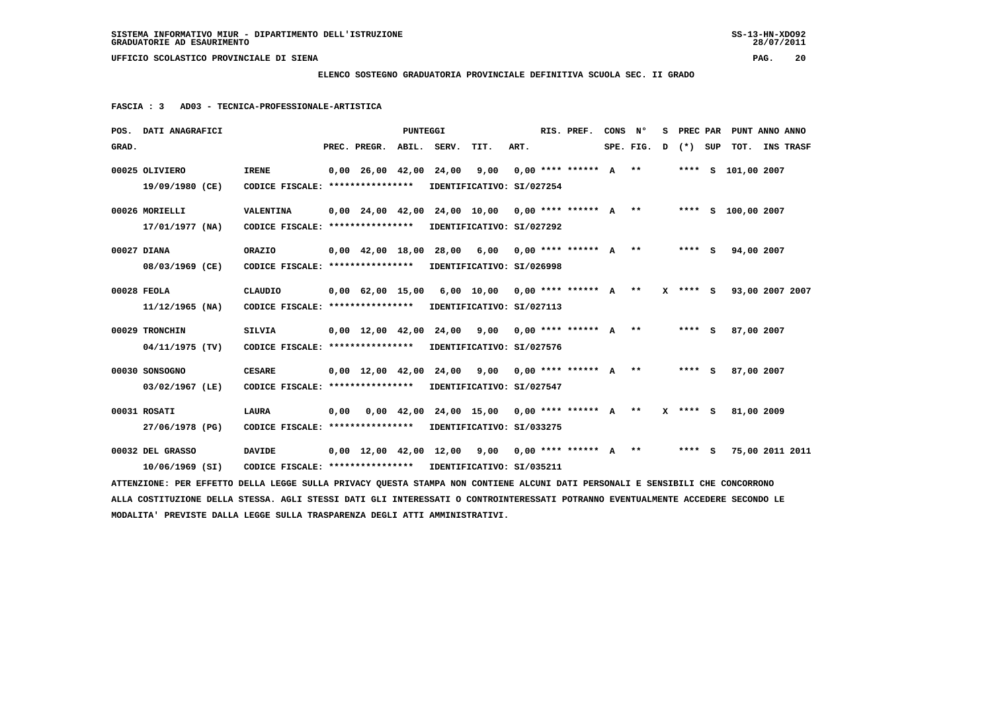**ELENCO SOSTEGNO GRADUATORIA PROVINCIALE DEFINITIVA SCUOLA SEC. II GRADO**

| POS. DATI ANAGRAFICI                                                                                                            |                                                                             |                                | <b>PUNTEGGI</b> |             |                                                                        |      | RIS. PREF.                | CONS N° |           | s. | PREC PAR     | PUNT ANNO ANNO     |                  |  |
|---------------------------------------------------------------------------------------------------------------------------------|-----------------------------------------------------------------------------|--------------------------------|-----------------|-------------|------------------------------------------------------------------------|------|---------------------------|---------|-----------|----|--------------|--------------------|------------------|--|
| GRAD.                                                                                                                           |                                                                             | PREC. PREGR.                   |                 | ABIL. SERV. | TIT.                                                                   | ART. |                           |         | SPE. FIG. |    | D (*) SUP    | тот.               | <b>INS TRASF</b> |  |
| 00025 OLIVIERO                                                                                                                  | <b>IRENE</b>                                                                | $0,00$ $26,00$ $42,00$ $24,00$ |                 |             | 9,00                                                                   |      | $0.00$ **** ****** $A$ ** |         |           |    |              | **** S 101,00 2007 |                  |  |
|                                                                                                                                 |                                                                             |                                |                 |             |                                                                        |      |                           |         |           |    |              |                    |                  |  |
| 19/09/1980 (CE)                                                                                                                 | CODICE FISCALE: *****************                                           |                                |                 |             | IDENTIFICATIVO: SI/027254                                              |      |                           |         |           |    |              |                    |                  |  |
| 00026 MORIELLI                                                                                                                  | VALENTINA                                                                   |                                |                 |             | 0,00 24,00 42,00 24,00 10,00 0,00 **** ****** A ** ***** S 100,00 2007 |      |                           |         |           |    |              |                    |                  |  |
| 17/01/1977 (NA)                                                                                                                 | CODICE FISCALE: ****************                                            |                                |                 |             | IDENTIFICATIVO: SI/027292                                              |      |                           |         |           |    |              |                    |                  |  |
|                                                                                                                                 |                                                                             |                                |                 |             |                                                                        |      |                           |         |           |    |              |                    |                  |  |
| 00027 DIANA                                                                                                                     | ORAZIO                                                                      |                                |                 |             | $0,00$ 42,00 18,00 28,00 6,00 0,00 **** ****** A **                    |      |                           |         |           |    | $***$ S      | 94,00 2007         |                  |  |
| 08/03/1969 (CE)                                                                                                                 | CODICE FISCALE: **************** IDENTIFICATIVO: SI/026998                  |                                |                 |             |                                                                        |      |                           |         |           |    |              |                    |                  |  |
|                                                                                                                                 |                                                                             |                                |                 |             |                                                                        |      |                           |         |           |    |              |                    |                  |  |
| 00028 FEOLA                                                                                                                     | <b>CLAUDIO</b>                                                              |                                |                 |             | $0,00$ 62,00 15,00 6,00 10,00 0,00 **** ****** A **                    |      |                           |         |           |    | $X$ **** $S$ | 93,00 2007 2007    |                  |  |
| 11/12/1965 (NA)                                                                                                                 | CODICE FISCALE: *****************                                           |                                |                 |             | IDENTIFICATIVO: SI/027113                                              |      |                           |         |           |    |              |                    |                  |  |
|                                                                                                                                 |                                                                             |                                |                 |             |                                                                        |      |                           |         |           |    |              |                    |                  |  |
| 00029 TRONCHIN                                                                                                                  | <b>SILVIA</b>                                                               |                                |                 |             | $0,00$ 12,00 42,00 24,00 9,00 0,00 **** ****** A **                    |      |                           |         |           |    | $***$ S      | 87,00 2007         |                  |  |
| 04/11/1975 (TV)                                                                                                                 | CODICE FISCALE: **************** IDENTIFICATIVO: SI/027576                  |                                |                 |             |                                                                        |      |                           |         |           |    |              |                    |                  |  |
| 00030 SONSOGNO                                                                                                                  | <b>CESARE</b>                                                               |                                |                 |             | $0.00$ 12.00 42.00 24.00 9.00 0.00 **** ****** A **                    |      |                           |         |           |    | **** S       | 87,00 2007         |                  |  |
|                                                                                                                                 |                                                                             |                                |                 |             |                                                                        |      |                           |         |           |    |              |                    |                  |  |
| 03/02/1967 (LE)                                                                                                                 | CODICE FISCALE: **************** IDENTIFICATIVO: SI/027547                  |                                |                 |             |                                                                        |      |                           |         |           |    |              |                    |                  |  |
| 00031 ROSATI                                                                                                                    | LAURA                                                                       |                                |                 |             | $0,00$ $0,00$ $42,00$ $24,00$ $15,00$ $0,00$ **** ****** A **          |      |                           |         |           |    | X **** S     | 81,00 2009         |                  |  |
| 27/06/1978 (PG)                                                                                                                 | CODICE FISCALE: *****************                                           |                                |                 |             | IDENTIFICATIVO: SI/033275                                              |      |                           |         |           |    |              |                    |                  |  |
|                                                                                                                                 |                                                                             |                                |                 |             |                                                                        |      |                           |         |           |    |              |                    |                  |  |
| 00032 DEL GRASSO                                                                                                                | <b>DAVIDE</b>                                                               |                                |                 |             | $0.00$ 12.00 42.00 12.00 9.00 0.00 **** ****** A ** ***** S            |      |                           |         |           |    |              | 75,00 2011 2011    |                  |  |
| 10/06/1969 (SI)                                                                                                                 | CODICE FISCALE: **************** IDENTIFICATIVO: SI/035211                  |                                |                 |             |                                                                        |      |                           |         |           |    |              |                    |                  |  |
| ATTENZIONE: PER EFFETTO DELLA LEGGE SULLA PRIVACY QUESTA STAMPA NON CONTIENE ALCUNI DATI PERSONALI E SENSIBILI CHE CONCORRONO   |                                                                             |                                |                 |             |                                                                        |      |                           |         |           |    |              |                    |                  |  |
| ALLA COSTITUZIONE DELLA STESSA. AGLI STESSI DATI GLI INTERESSATI O CONTROINTERESSATI POTRANNO EVENTUALMENTE ACCEDERE SECONDO LE |                                                                             |                                |                 |             |                                                                        |      |                           |         |           |    |              |                    |                  |  |
|                                                                                                                                 | MODALITA' PREVISTE DALLA LEGGE SULLA TRASPARENZA DEGLI ATTI AMMINISTRATIVI. |                                |                 |             |                                                                        |      |                           |         |           |    |              |                    |                  |  |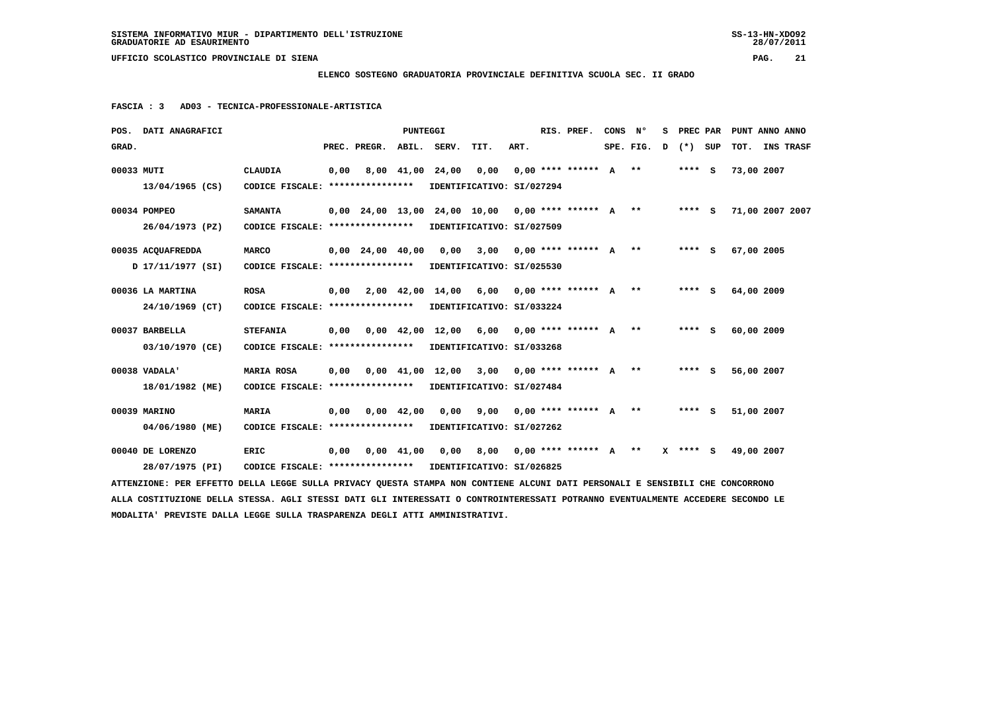**ELENCO SOSTEGNO GRADUATORIA PROVINCIALE DEFINITIVA SCUOLA SEC. II GRADO**

 **FASCIA : 3 AD03 - TECNICA-PROFESSIONALE-ARTISTICA**

| POS. DATI ANAGRAFICI                                                                                                            |                                                            |      |                          | <b>PUNTEGGI</b>    |                  |                                                     |      | RIS. PREF. | CONS | N°        | s |         |          | PREC PAR PUNT ANNO ANNO |  |
|---------------------------------------------------------------------------------------------------------------------------------|------------------------------------------------------------|------|--------------------------|--------------------|------------------|-----------------------------------------------------|------|------------|------|-----------|---|---------|----------|-------------------------|--|
| GRAD.                                                                                                                           |                                                            |      | PREC. PREGR. ABIL. SERV. |                    |                  | TIT.                                                | ART. |            |      | SPE. FIG. | D | (*) SUP |          | TOT. INS TRASF          |  |
| 00033 MUTI                                                                                                                      | <b>CLAUDIA</b>                                             | 0,00 |                          |                    | 8,00 41,00 24,00 | 0,00 0,00 **** ****** A ** **** S                   |      |            |      |           |   |         |          | 73,00 2007              |  |
| 13/04/1965 (CS)                                                                                                                 | CODICE FISCALE: **************** IDENTIFICATIVO: SI/027294 |      |                          |                    |                  |                                                     |      |            |      |           |   |         |          |                         |  |
| 00034 POMPEO                                                                                                                    | <b>SAMANTA</b>                                             |      |                          |                    |                  | 0,00 24,00 13,00 24,00 10,00 0,00 **** ****** A **  |      |            |      |           |   |         |          | **** S 71,00 2007 2007  |  |
| 26/04/1973 (PZ)                                                                                                                 | CODICE FISCALE: **************** IDENTIFICATIVO: SI/027509 |      |                          |                    |                  |                                                     |      |            |      |           |   |         |          |                         |  |
| 00035 ACQUAFREDDA                                                                                                               | <b>MARCO</b>                                               |      |                          |                    |                  | $0,00$ 24,00 40,00 0,00 3,00 0,00 **** ****** A **  |      |            |      |           |   |         | **** $S$ | 67,00 2005              |  |
| 17/11/1977 (SI)                                                                                                                 | CODICE FISCALE: ****************                           |      |                          |                    |                  | IDENTIFICATIVO: SI/025530                           |      |            |      |           |   |         |          |                         |  |
| 00036 LA MARTINA                                                                                                                | <b>ROSA</b>                                                | 0,00 |                          |                    |                  | 2,00 42,00 14,00 6,00 0,00 **** ****** A ** ***** S |      |            |      |           |   |         |          | 64,00 2009              |  |
| 24/10/1969 (CT)                                                                                                                 | CODICE FISCALE: ****************                           |      |                          |                    |                  | IDENTIFICATIVO: SI/033224                           |      |            |      |           |   |         |          |                         |  |
| 00037 BARBELLA                                                                                                                  | <b>STEFANIA</b>                                            | 0,00 |                          |                    |                  | 0,00 42,00 12,00 6,00 0,00 **** ****** A **         |      |            |      |           |   | $***$ S |          | 60,00 2009              |  |
| 03/10/1970 (CE)                                                                                                                 | CODICE FISCALE: **************** IDENTIFICATIVO: SI/033268 |      |                          |                    |                  |                                                     |      |            |      |           |   |         |          |                         |  |
| $00038$ VADALA'                                                                                                                 | <b>MARIA ROSA</b>                                          | 0,00 |                          |                    |                  | 0,00 41,00 12,00 3,00 0,00 **** ****** A **         |      |            |      |           |   | $***$ S |          | 56,00 2007              |  |
| 18/01/1982 (ME)                                                                                                                 | CODICE FISCALE: **************** IDENTIFICATIVO: SI/027484 |      |                          |                    |                  |                                                     |      |            |      |           |   |         |          |                         |  |
| 00039 MARINO                                                                                                                    | MARIA                                                      | 0,00 | 0,00 42,00               |                    |                  | $0,00$ $9,00$ $0,00$ **** ****** A **               |      |            |      |           |   | **** S  |          | 51,00 2007              |  |
| 04/06/1980 (ME)                                                                                                                 | CODICE FISCALE: ****************                           |      |                          |                    |                  | IDENTIFICATIVO: SI/027262                           |      |            |      |           |   |         |          |                         |  |
| 00040 DE LORENZO                                                                                                                | <b>ERIC</b>                                                | 0.00 |                          | $0.00 \quad 41.00$ |                  | 0,00 8,00 0,00 **** ****** A ** X **** S 49,00 2007 |      |            |      |           |   |         |          |                         |  |
| 28/07/1975 (PI)                                                                                                                 | CODICE FISCALE: **************** IDENTIFICATIVO: SI/026825 |      |                          |                    |                  |                                                     |      |            |      |           |   |         |          |                         |  |
| ATTENZIONE: PER EFFETTO DELLA LEGGE SULLA PRIVACY QUESTA STAMPA NON CONTIENE ALCUNI DATI PERSONALI E SENSIBILI CHE CONCORRONO   |                                                            |      |                          |                    |                  |                                                     |      |            |      |           |   |         |          |                         |  |
| ALLA COSTITUZIONE DELLA STESSA. AGLI STESSI DATI GLI INTERESSATI O CONTROINTERESSATI POTRANNO EVENTUALMENTE ACCEDERE SECONDO LE |                                                            |      |                          |                    |                  |                                                     |      |            |      |           |   |         |          |                         |  |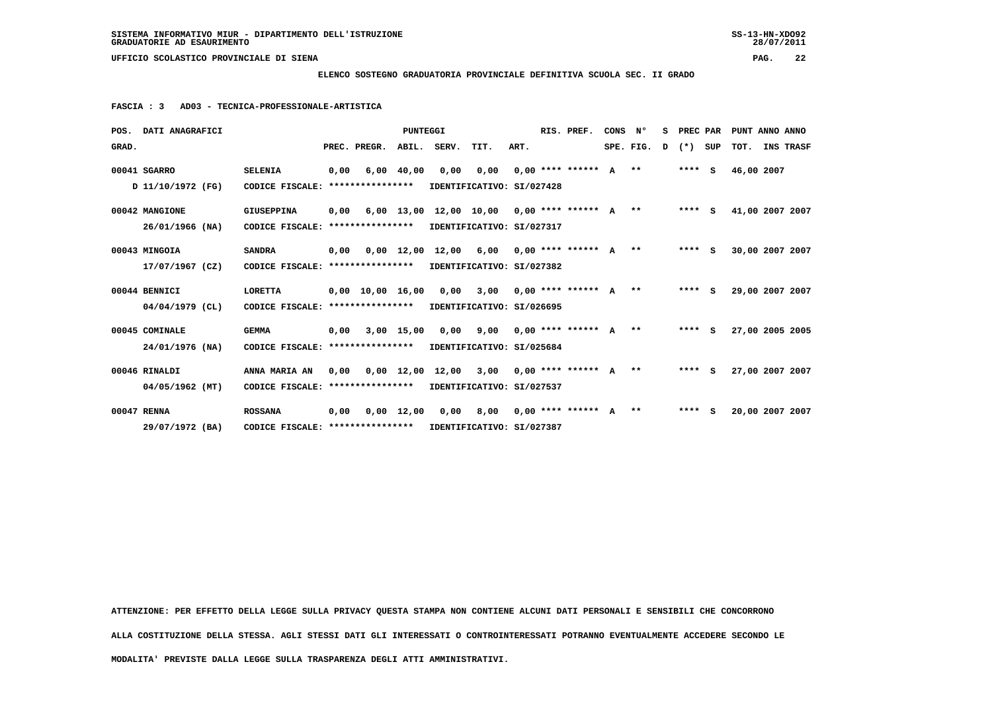**ELENCO SOSTEGNO GRADUATORIA PROVINCIALE DEFINITIVA SCUOLA SEC. II GRADO**

 **FASCIA : 3 AD03 - TECNICA-PROFESSIONALE-ARTISTICA**

|       | POS. DATI ANAGRAFICI |                                                            |      |              | <b>PUNTEGGI</b> |                                                               |      |      | RIS. PREF.              | CONS | $N^{\circ}$ | s | PREC PAR |     | PUNT ANNO ANNO  |           |  |
|-------|----------------------|------------------------------------------------------------|------|--------------|-----------------|---------------------------------------------------------------|------|------|-------------------------|------|-------------|---|----------|-----|-----------------|-----------|--|
| GRAD. |                      |                                                            |      | PREC. PREGR. | ABIL.           | SERV.                                                         | TIT. | ART. |                         |      | SPE. FIG.   | D | $(*)$    | SUP | тот.            | INS TRASF |  |
|       | 00041 SGARRO         | <b>SELENIA</b>                                             | 0,00 |              | $6,00$ $40,00$  | 0,00                                                          | 0,00 |      | $0.00$ **** ****** A ** |      |             |   | $***$ S  |     | 46,00 2007      |           |  |
|       | D 11/10/1972 (FG)    | CODICE FISCALE: ****************                           |      |              |                 | IDENTIFICATIVO: SI/027428                                     |      |      |                         |      |             |   |          |     |                 |           |  |
|       | 00042 MANGIONE       | <b>GIUSEPPINA</b>                                          |      |              |                 | $0,00$ 6,00 13,00 12,00 10,00 0,00 **** ****** A **           |      |      |                         |      |             |   | $***$ S  |     | 41,00 2007 2007 |           |  |
|       | $26/01/1966$ (NA)    | CODICE FISCALE: ****************                           |      |              |                 | IDENTIFICATIVO: SI/027317                                     |      |      |                         |      |             |   |          |     |                 |           |  |
|       | 00043 MINGOIA        | <b>SANDRA</b>                                              | 0,00 |              |                 | 0,00 12,00 12,00 6,00                                         |      |      | $0.00********** A***$   |      |             |   | **** S   |     | 30,00 2007 2007 |           |  |
|       | $17/07/1967$ (CZ)    | CODICE FISCALE: *****************                          |      |              |                 | IDENTIFICATIVO: SI/027382                                     |      |      |                         |      |             |   |          |     |                 |           |  |
|       | 00044 BENNICI        | <b>LORETTA</b>                                             |      |              |                 | $0,00$ 10,00 16,00 0,00 3,00 0,00 **** ****** A **            |      |      |                         |      |             |   | $***5$   |     | 29,00 2007 2007 |           |  |
|       | $04/04/1979$ (CL)    | CODICE FISCALE: ****************                           |      |              |                 | IDENTIFICATIVO: SI/026695                                     |      |      |                         |      |             |   |          |     |                 |           |  |
|       | 00045 COMINALE       | <b>GEMMA</b>                                               |      |              |                 | $0.00$ 3.00 15.00 0.00 9.00 0.00 **** ****** A **             |      |      |                         |      |             |   | $***5$   |     | 27,00 2005 2005 |           |  |
|       | 24/01/1976 (NA)      | CODICE FISCALE: ****************                           |      |              |                 | IDENTIFICATIVO: SI/025684                                     |      |      |                         |      |             |   |          |     |                 |           |  |
|       | 00046 RINALDI        | ANNA MARIA AN                                              |      |              |                 | 0,00 0,00 12,00 12,00 3,00 0,00 **** ****** A                 |      |      |                         |      | $***$       |   | $***$ S  |     | 27,00 2007 2007 |           |  |
|       | 04/05/1962 (MT)      | CODICE FISCALE: **************** IDENTIFICATIVO: SI/027537 |      |              |                 |                                                               |      |      |                         |      |             |   |          |     |                 |           |  |
|       | 00047 RENNA          | <b>ROSSANA</b>                                             |      |              |                 | $0,00$ $0,00$ $12,00$ $0,00$ $8,00$ $0,00$ $***$ **** ***** A |      |      |                         |      | $***$       |   | $***$ S  |     | 20,00 2007 2007 |           |  |
|       | 29/07/1972 (BA)      | CODICE FISCALE: ****************                           |      |              |                 | IDENTIFICATIVO: SI/027387                                     |      |      |                         |      |             |   |          |     |                 |           |  |

 **ATTENZIONE: PER EFFETTO DELLA LEGGE SULLA PRIVACY QUESTA STAMPA NON CONTIENE ALCUNI DATI PERSONALI E SENSIBILI CHE CONCORRONO**

 **ALLA COSTITUZIONE DELLA STESSA. AGLI STESSI DATI GLI INTERESSATI O CONTROINTERESSATI POTRANNO EVENTUALMENTE ACCEDERE SECONDO LE**